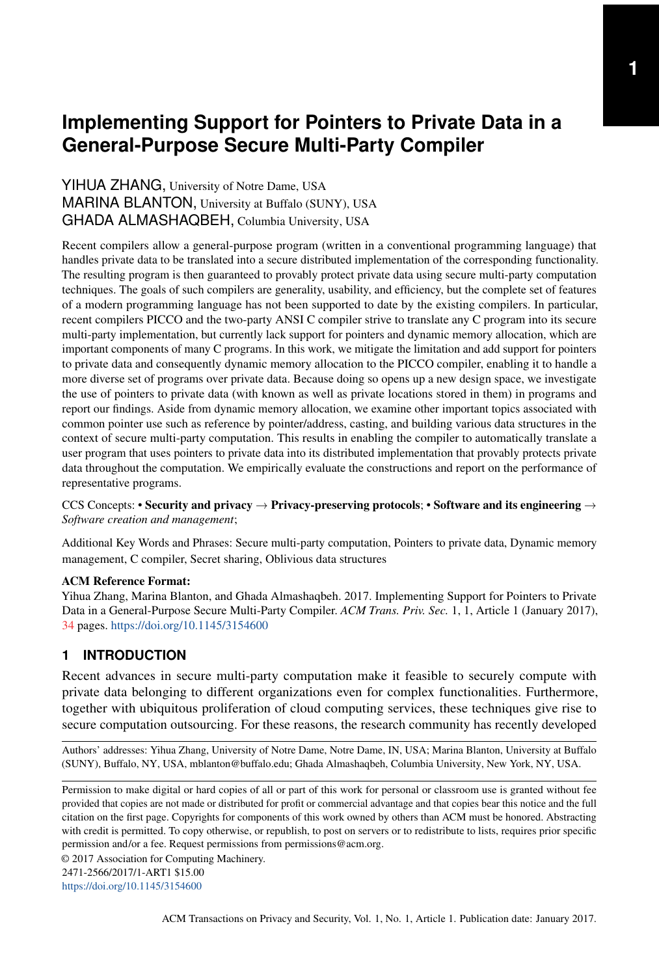# **Implementing Support for Pointers to Private Data in a General-Purpose Secure Multi-Party Compiler**

YIHUA ZHANG, University of Notre Dame, USA MARINA BLANTON, University at Buffalo (SUNY), USA GHADA ALMASHAQBEH, Columbia University, USA

Recent compilers allow a general-purpose program (written in a conventional programming language) that handles private data to be translated into a secure distributed implementation of the corresponding functionality. The resulting program is then guaranteed to provably protect private data using secure multi-party computation techniques. The goals of such compilers are generality, usability, and efficiency, but the complete set of features of a modern programming language has not been supported to date by the existing compilers. In particular, recent compilers PICCO and the two-party ANSI C compiler strive to translate any C program into its secure multi-party implementation, but currently lack support for pointers and dynamic memory allocation, which are important components of many C programs. In this work, we mitigate the limitation and add support for pointers to private data and consequently dynamic memory allocation to the PICCO compiler, enabling it to handle a more diverse set of programs over private data. Because doing so opens up a new design space, we investigate the use of pointers to private data (with known as well as private locations stored in them) in programs and report our findings. Aside from dynamic memory allocation, we examine other important topics associated with common pointer use such as reference by pointer/address, casting, and building various data structures in the context of secure multi-party computation. This results in enabling the compiler to automatically translate a user program that uses pointers to private data into its distributed implementation that provably protects private data throughout the computation. We empirically evaluate the constructions and report on the performance of representative programs.

### CCS Concepts: • Security and privacy  $\rightarrow$  Privacy-preserving protocols; • Software and its engineering  $\rightarrow$ *Software creation and management*;

Additional Key Words and Phrases: Secure multi-party computation, Pointers to private data, Dynamic memory management, C compiler, Secret sharing, Oblivious data structures

#### ACM Reference Format:

Yihua Zhang, Marina Blanton, and Ghada Almashaqbeh. 2017. Implementing Support for Pointers to Private Data in a General-Purpose Secure Multi-Party Compiler. *ACM Trans. Priv. Sec.* 1, 1, Article 1 (January 2017), 34 pages. <https://doi.org/10.1145/3154600>

# **1 INTRODUCTION**

Recent advances in secure multi-party computation make it feasible to securely compute with private data belonging to different organizations even for complex functionalities. Furthermore, together with ubiquitous proliferation of cloud computing services, these techniques give rise to secure computation outsourcing. For these reasons, the research community has recently developed

Authors' addresses: Yihua Zhang, University of Notre Dame, Notre Dame, IN, USA; Marina Blanton, University at Buffalo (SUNY), Buffalo, NY, USA, mblanton@buffalo.edu; Ghada Almashaqbeh, Columbia University, New York, NY, USA.

Permission to make digital or hard copies of all or part of this work for personal or classroom use is granted without fee provided that copies are not made or distributed for profit or commercial advantage and that copies bear this notice and the full citation on the first page. Copyrights for components of this work owned by others than ACM must be honored. Abstracting with credit is permitted. To copy otherwise, or republish, to post on servers or to redistribute to lists, requires prior specific permission and/or a fee. Request permissions from permissions@acm.org.

© 2017 Association for Computing Machinery.

2471-2566/2017/1-ART1 \$15.00

<https://doi.org/10.1145/3154600>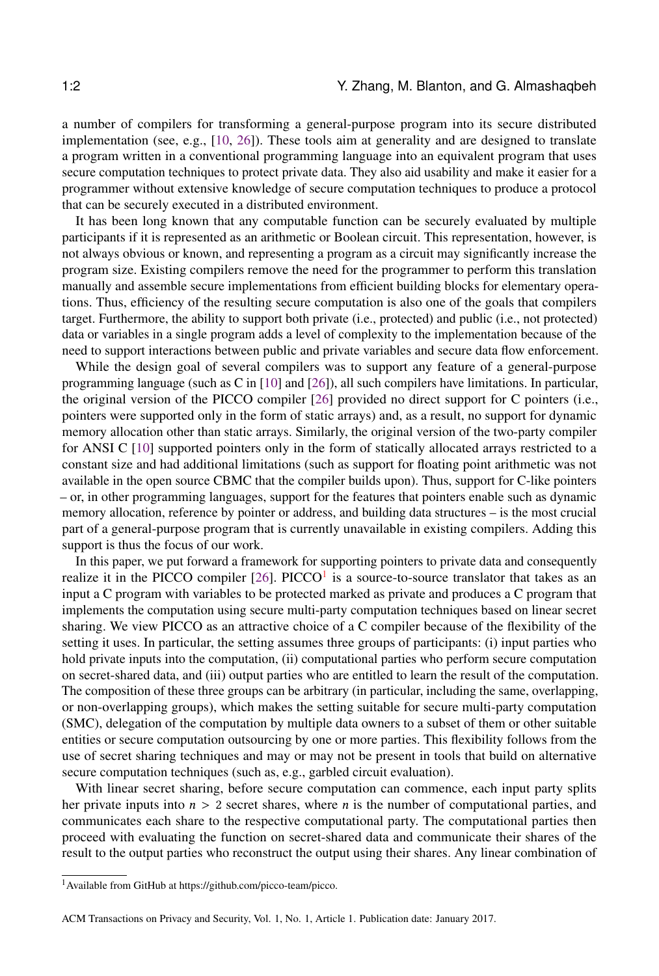a number of compilers for transforming a general-purpose program into its secure distributed implementation (see, e.g., [\[10,](#page-32-0) [26\]](#page-32-1)). These tools aim at generality and are designed to translate a program written in a conventional programming language into an equivalent program that uses secure computation techniques to protect private data. They also aid usability and make it easier for a programmer without extensive knowledge of secure computation techniques to produce a protocol that can be securely executed in a distributed environment.

It has been long known that any computable function can be securely evaluated by multiple participants if it is represented as an arithmetic or Boolean circuit. This representation, however, is not always obvious or known, and representing a program as a circuit may significantly increase the program size. Existing compilers remove the need for the programmer to perform this translation manually and assemble secure implementations from efficient building blocks for elementary operations. Thus, efficiency of the resulting secure computation is also one of the goals that compilers target. Furthermore, the ability to support both private (i.e., protected) and public (i.e., not protected) data or variables in a single program adds a level of complexity to the implementation because of the need to support interactions between public and private variables and secure data flow enforcement.

While the design goal of several compilers was to support any feature of a general-purpose programming language (such as C in [\[10\]](#page-32-0) and [\[26\]](#page-32-1)), all such compilers have limitations. In particular, the original version of the PICCO compiler [\[26\]](#page-32-1) provided no direct support for C pointers (i.e., pointers were supported only in the form of static arrays) and, as a result, no support for dynamic memory allocation other than static arrays. Similarly, the original version of the two-party compiler for ANSI C [\[10\]](#page-32-0) supported pointers only in the form of statically allocated arrays restricted to a constant size and had additional limitations (such as support for floating point arithmetic was not available in the open source CBMC that the compiler builds upon). Thus, support for C-like pointers – or, in other programming languages, support for the features that pointers enable such as dynamic memory allocation, reference by pointer or address, and building data structures – is the most crucial part of a general-purpose program that is currently unavailable in existing compilers. Adding this support is thus the focus of our work.

In this paper, we put forward a framework for supporting pointers to private data and consequently realize it in the PICCO compiler  $[26]$ . PICCO<sup>[1](#page-1-0)</sup> is a source-to-source translator that takes as an input a C program with variables to be protected marked as private and produces a C program that implements the computation using secure multi-party computation techniques based on linear secret sharing. We view PICCO as an attractive choice of a C compiler because of the flexibility of the setting it uses. In particular, the setting assumes three groups of participants: (i) input parties who hold private inputs into the computation, (ii) computational parties who perform secure computation on secret-shared data, and (iii) output parties who are entitled to learn the result of the computation. The composition of these three groups can be arbitrary (in particular, including the same, overlapping, or non-overlapping groups), which makes the setting suitable for secure multi-party computation (SMC), delegation of the computation by multiple data owners to a subset of them or other suitable entities or secure computation outsourcing by one or more parties. This flexibility follows from the use of secret sharing techniques and may or may not be present in tools that build on alternative secure computation techniques (such as, e.g., garbled circuit evaluation).

With linear secret sharing, before secure computation can commence, each input party splits her private inputs into  $n > 2$  secret shares, where n is the number of computational parties, and communicates each share to the respective computational party. The computational parties then proceed with evaluating the function on secret-shared data and communicate their shares of the result to the output parties who reconstruct the output using their shares. Any linear combination of

<span id="page-1-0"></span><sup>1</sup>Available from GitHub at https://github.com/picco-team/picco.

ACM Transactions on Privacy and Security, Vol. 1, No. 1, Article 1. Publication date: January 2017.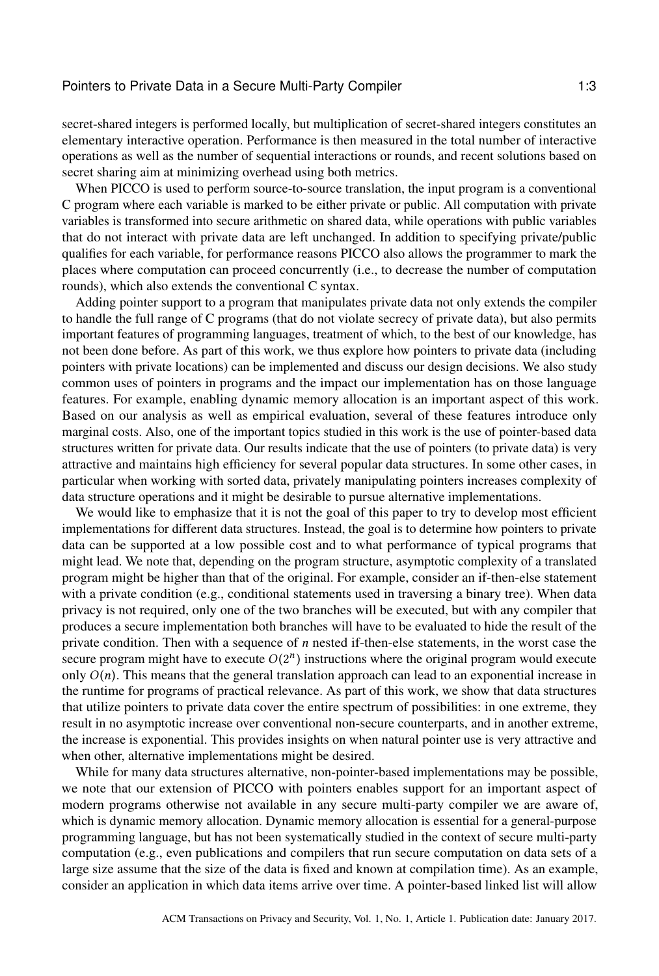secret-shared integers is performed locally, but multiplication of secret-shared integers constitutes an elementary interactive operation. Performance is then measured in the total number of interactive operations as well as the number of sequential interactions or rounds, and recent solutions based on secret sharing aim at minimizing overhead using both metrics.

When PICCO is used to perform source-to-source translation, the input program is a conventional C program where each variable is marked to be either private or public. All computation with private variables is transformed into secure arithmetic on shared data, while operations with public variables that do not interact with private data are left unchanged. In addition to specifying private/public qualifies for each variable, for performance reasons PICCO also allows the programmer to mark the places where computation can proceed concurrently (i.e., to decrease the number of computation rounds), which also extends the conventional C syntax.

Adding pointer support to a program that manipulates private data not only extends the compiler to handle the full range of C programs (that do not violate secrecy of private data), but also permits important features of programming languages, treatment of which, to the best of our knowledge, has not been done before. As part of this work, we thus explore how pointers to private data (including pointers with private locations) can be implemented and discuss our design decisions. We also study common uses of pointers in programs and the impact our implementation has on those language features. For example, enabling dynamic memory allocation is an important aspect of this work. Based on our analysis as well as empirical evaluation, several of these features introduce only marginal costs. Also, one of the important topics studied in this work is the use of pointer-based data structures written for private data. Our results indicate that the use of pointers (to private data) is very attractive and maintains high efficiency for several popular data structures. In some other cases, in particular when working with sorted data, privately manipulating pointers increases complexity of data structure operations and it might be desirable to pursue alternative implementations.

We would like to emphasize that it is not the goal of this paper to try to develop most efficient implementations for different data structures. Instead, the goal is to determine how pointers to private data can be supported at a low possible cost and to what performance of typical programs that might lead. We note that, depending on the program structure, asymptotic complexity of a translated program might be higher than that of the original. For example, consider an if-then-else statement with a private condition (e.g., conditional statements used in traversing a binary tree). When data privacy is not required, only one of the two branches will be executed, but with any compiler that produces a secure implementation both branches will have to be evaluated to hide the result of the private condition. Then with a sequence of  $n$  nested if-then-else statements, in the worst case the secure program might have to execute  $O(2^n)$  instructions where the original program would execute<br>only  $O(n)$ . This means that the general translation approach can lead to an exponential increase in only  $O(n)$ . This means that the general translation approach can lead to an exponential increase in the runtime for programs of practical relevance. As part of this work, we show that data structures that utilize pointers to private data cover the entire spectrum of possibilities: in one extreme, they result in no asymptotic increase over conventional non-secure counterparts, and in another extreme, the increase is exponential. This provides insights on when natural pointer use is very attractive and when other, alternative implementations might be desired.

While for many data structures alternative, non-pointer-based implementations may be possible, we note that our extension of PICCO with pointers enables support for an important aspect of modern programs otherwise not available in any secure multi-party compiler we are aware of, which is dynamic memory allocation. Dynamic memory allocation is essential for a general-purpose programming language, but has not been systematically studied in the context of secure multi-party computation (e.g., even publications and compilers that run secure computation on data sets of a large size assume that the size of the data is fixed and known at compilation time). As an example, consider an application in which data items arrive over time. A pointer-based linked list will allow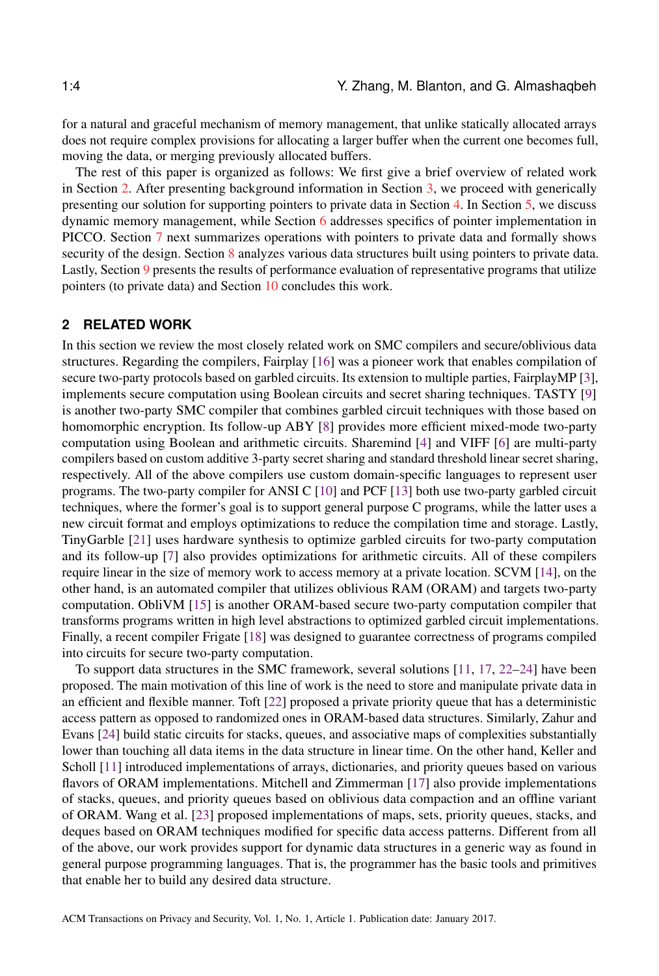for a natural and graceful mechanism of memory management, that unlike statically allocated arrays does not require complex provisions for allocating a larger buffer when the current one becomes full, moving the data, or merging previously allocated buffers.

The rest of this paper is organized as follows: We first give a brief overview of related work in Section [2.](#page-3-0) After presenting background information in Section [3,](#page-4-0) we proceed with generically presenting our solution for supporting pointers to private data in Section [4.](#page-5-0) In Section [5,](#page-14-0) we discuss dynamic memory management, while Section [6](#page-17-0) addresses specifics of pointer implementation in PICCO. Section [7](#page-20-0) next summarizes operations with pointers to private data and formally shows security of the design. Section [8](#page-22-0) analyzes various data structures built using pointers to private data. Lastly, Section [9](#page-27-0) presents the results of performance evaluation of representative programs that utilize pointers (to private data) and Section [10](#page-31-0) concludes this work.

# <span id="page-3-0"></span>**2 RELATED WORK**

In this section we review the most closely related work on SMC compilers and secure/oblivious data structures. Regarding the compilers, Fairplay [\[16\]](#page-32-2) was a pioneer work that enables compilation of secure two-party protocols based on garbled circuits. Its extension to multiple parties, FairplayMP [\[3\]](#page-31-1), implements secure computation using Boolean circuits and secret sharing techniques. TASTY [\[9\]](#page-32-3) is another two-party SMC compiler that combines garbled circuit techniques with those based on homomorphic encryption. Its follow-up ABY [\[8\]](#page-32-4) provides more efficient mixed-mode two-party computation using Boolean and arithmetic circuits. Sharemind [\[4\]](#page-31-2) and VIFF [\[6\]](#page-31-3) are multi-party compilers based on custom additive 3-party secret sharing and standard threshold linear secret sharing, respectively. All of the above compilers use custom domain-specific languages to represent user programs. The two-party compiler for ANSI C [\[10\]](#page-32-0) and PCF [\[13\]](#page-32-5) both use two-party garbled circuit techniques, where the former's goal is to support general purpose C programs, while the latter uses a new circuit format and employs optimizations to reduce the compilation time and storage. Lastly, TinyGarble [\[21\]](#page-32-6) uses hardware synthesis to optimize garbled circuits for two-party computation and its follow-up [\[7\]](#page-31-4) also provides optimizations for arithmetic circuits. All of these compilers require linear in the size of memory work to access memory at a private location. SCVM [\[14\]](#page-32-7), on the other hand, is an automated compiler that utilizes oblivious RAM (ORAM) and targets two-party computation. ObliVM [\[15\]](#page-32-8) is another ORAM-based secure two-party computation compiler that transforms programs written in high level abstractions to optimized garbled circuit implementations. Finally, a recent compiler Frigate [\[18\]](#page-32-9) was designed to guarantee correctness of programs compiled into circuits for secure two-party computation.

To support data structures in the SMC framework, several solutions [\[11,](#page-32-10) [17,](#page-32-11) [22](#page-32-12)[–24\]](#page-32-13) have been proposed. The main motivation of this line of work is the need to store and manipulate private data in an efficient and flexible manner. Toft [\[22\]](#page-32-12) proposed a private priority queue that has a deterministic access pattern as opposed to randomized ones in ORAM-based data structures. Similarly, Zahur and Evans [\[24\]](#page-32-13) build static circuits for stacks, queues, and associative maps of complexities substantially lower than touching all data items in the data structure in linear time. On the other hand, Keller and Scholl [\[11\]](#page-32-10) introduced implementations of arrays, dictionaries, and priority queues based on various flavors of ORAM implementations. Mitchell and Zimmerman [\[17\]](#page-32-11) also provide implementations of stacks, queues, and priority queues based on oblivious data compaction and an offline variant of ORAM. Wang et al. [\[23\]](#page-32-14) proposed implementations of maps, sets, priority queues, stacks, and deques based on ORAM techniques modified for specific data access patterns. Different from all of the above, our work provides support for dynamic data structures in a generic way as found in general purpose programming languages. That is, the programmer has the basic tools and primitives that enable her to build any desired data structure.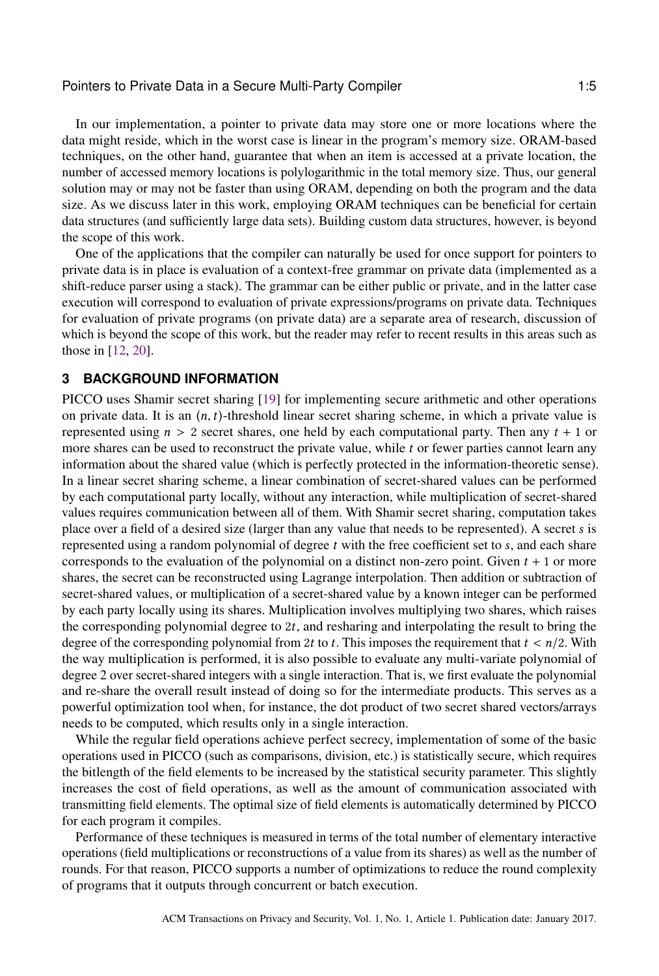In our implementation, a pointer to private data may store one or more locations where the data might reside, which in the worst case is linear in the program's memory size. ORAM-based techniques, on the other hand, guarantee that when an item is accessed at a private location, the number of accessed memory locations is polylogarithmic in the total memory size. Thus, our general solution may or may not be faster than using ORAM, depending on both the program and the data size. As we discuss later in this work, employing ORAM techniques can be beneficial for certain data structures (and sufficiently large data sets). Building custom data structures, however, is beyond the scope of this work.

One of the applications that the compiler can naturally be used for once support for pointers to private data is in place is evaluation of a context-free grammar on private data (implemented as a shift-reduce parser using a stack). The grammar can be either public or private, and in the latter case execution will correspond to evaluation of private expressions/programs on private data. Techniques for evaluation of private programs (on private data) are a separate area of research, discussion of which is beyond the scope of this work, but the reader may refer to recent results in this areas such as those in [\[12,](#page-32-15) [20\]](#page-32-16).

# <span id="page-4-0"></span>**3 BACKGROUND INFORMATION**

PICCO uses Shamir secret sharing [\[19\]](#page-32-17) for implementing secure arithmetic and other operations on private data. It is an  $(n, t)$ -threshold linear secret sharing scheme, in which a private value is represented using  $n > 2$  secret shares, one held by each computational party. Then any  $t + 1$  or more shares can be used to reconstruct the private value, while  $t$  or fewer parties cannot learn any information about the shared value (which is perfectly protected in the information-theoretic sense). In a linear secret sharing scheme, a linear combination of secret-shared values can be performed by each computational party locally, without any interaction, while multiplication of secret-shared values requires communication between all of them. With Shamir secret sharing, computation takes place over a field of a desired size (larger than any value that needs to be represented). A secret s is represented using a random polynomial of degree  $t$  with the free coefficient set to  $s$ , and each share corresponds to the evaluation of the polynomial on a distinct non-zero point. Given  $t + 1$  or more shares, the secret can be reconstructed using Lagrange interpolation. Then addition or subtraction of secret-shared values, or multiplication of a secret-shared value by a known integer can be performed by each party locally using its shares. Multiplication involves multiplying two shares, which raises the corresponding polynomial degree to <sup>2</sup>t, and resharing and interpolating the result to bring the degree of the corresponding polynomial from 2t to t. This imposes the requirement that  $t < n/2$ . With the way multiplication is performed, it is also possible to evaluate any multi-variate polynomial of degree 2 over secret-shared integers with a single interaction. That is, we first evaluate the polynomial and re-share the overall result instead of doing so for the intermediate products. This serves as a powerful optimization tool when, for instance, the dot product of two secret shared vectors/arrays needs to be computed, which results only in a single interaction.

While the regular field operations achieve perfect secrecy, implementation of some of the basic operations used in PICCO (such as comparisons, division, etc.) is statistically secure, which requires the bitlength of the field elements to be increased by the statistical security parameter. This slightly increases the cost of field operations, as well as the amount of communication associated with transmitting field elements. The optimal size of field elements is automatically determined by PICCO for each program it compiles.

Performance of these techniques is measured in terms of the total number of elementary interactive operations (field multiplications or reconstructions of a value from its shares) as well as the number of rounds. For that reason, PICCO supports a number of optimizations to reduce the round complexity of programs that it outputs through concurrent or batch execution.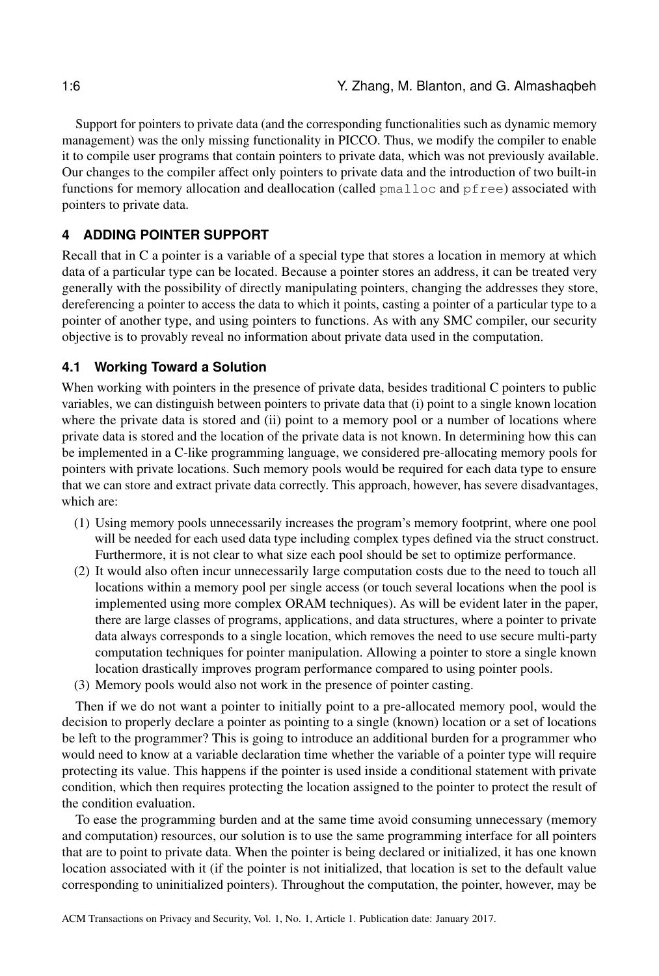Support for pointers to private data (and the corresponding functionalities such as dynamic memory management) was the only missing functionality in PICCO. Thus, we modify the compiler to enable it to compile user programs that contain pointers to private data, which was not previously available. Our changes to the compiler affect only pointers to private data and the introduction of two built-in functions for memory allocation and deallocation (called pmalloc and pfree) associated with pointers to private data.

# <span id="page-5-0"></span>**4 ADDING POINTER SUPPORT**

Recall that in C a pointer is a variable of a special type that stores a location in memory at which data of a particular type can be located. Because a pointer stores an address, it can be treated very generally with the possibility of directly manipulating pointers, changing the addresses they store, dereferencing a pointer to access the data to which it points, casting a pointer of a particular type to a pointer of another type, and using pointers to functions. As with any SMC compiler, our security objective is to provably reveal no information about private data used in the computation.

# **4.1 Working Toward a Solution**

When working with pointers in the presence of private data, besides traditional C pointers to public variables, we can distinguish between pointers to private data that (i) point to a single known location where the private data is stored and (ii) point to a memory pool or a number of locations where private data is stored and the location of the private data is not known. In determining how this can be implemented in a C-like programming language, we considered pre-allocating memory pools for pointers with private locations. Such memory pools would be required for each data type to ensure that we can store and extract private data correctly. This approach, however, has severe disadvantages, which are:

- (1) Using memory pools unnecessarily increases the program's memory footprint, where one pool will be needed for each used data type including complex types defined via the struct construct. Furthermore, it is not clear to what size each pool should be set to optimize performance.
- (2) It would also often incur unnecessarily large computation costs due to the need to touch all locations within a memory pool per single access (or touch several locations when the pool is implemented using more complex ORAM techniques). As will be evident later in the paper, there are large classes of programs, applications, and data structures, where a pointer to private data always corresponds to a single location, which removes the need to use secure multi-party computation techniques for pointer manipulation. Allowing a pointer to store a single known location drastically improves program performance compared to using pointer pools.
- (3) Memory pools would also not work in the presence of pointer casting.

Then if we do not want a pointer to initially point to a pre-allocated memory pool, would the decision to properly declare a pointer as pointing to a single (known) location or a set of locations be left to the programmer? This is going to introduce an additional burden for a programmer who would need to know at a variable declaration time whether the variable of a pointer type will require protecting its value. This happens if the pointer is used inside a conditional statement with private condition, which then requires protecting the location assigned to the pointer to protect the result of the condition evaluation.

To ease the programming burden and at the same time avoid consuming unnecessary (memory and computation) resources, our solution is to use the same programming interface for all pointers that are to point to private data. When the pointer is being declared or initialized, it has one known location associated with it (if the pointer is not initialized, that location is set to the default value corresponding to uninitialized pointers). Throughout the computation, the pointer, however, may be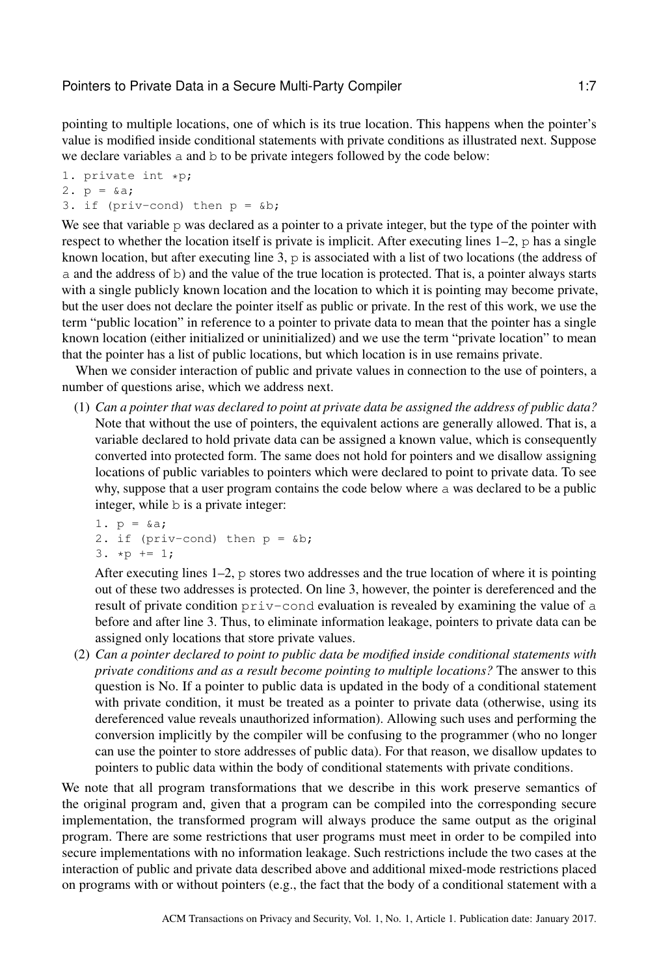pointing to multiple locations, one of which is its true location. This happens when the pointer's value is modified inside conditional statements with private conditions as illustrated next. Suppose we declare variables a and b to be private integers followed by the code below:

```
1. private int *p;
2. p = \&a;3. if (priv-cond) then p = \delta b;
```
We see that variable p was declared as a pointer to a private integer, but the type of the pointer with respect to whether the location itself is private is implicit. After executing lines 1–2, p has a single known location, but after executing line 3, p is associated with a list of two locations (the address of a and the address of b) and the value of the true location is protected. That is, a pointer always starts with a single publicly known location and the location to which it is pointing may become private, but the user does not declare the pointer itself as public or private. In the rest of this work, we use the term "public location" in reference to a pointer to private data to mean that the pointer has a single known location (either initialized or uninitialized) and we use the term "private location" to mean that the pointer has a list of public locations, but which location is in use remains private.

When we consider interaction of public and private values in connection to the use of pointers, a number of questions arise, which we address next.

(1) *Can a pointer that was declared to point at private data be assigned the address of public data?* Note that without the use of pointers, the equivalent actions are generally allowed. That is, a variable declared to hold private data can be assigned a known value, which is consequently converted into protected form. The same does not hold for pointers and we disallow assigning locations of public variables to pointers which were declared to point to private data. To see why, suppose that a user program contains the code below where a was declared to be a public integer, while b is a private integer:

1.  $p = 6a$ ; 2. if (priv-cond) then  $p = \delta b$ ; 3.  $*p == 1;$ 

After executing lines  $1-2$ , p stores two addresses and the true location of where it is pointing out of these two addresses is protected. On line 3, however, the pointer is dereferenced and the result of private condition priv-cond evaluation is revealed by examining the value of a before and after line 3. Thus, to eliminate information leakage, pointers to private data can be assigned only locations that store private values.

(2) *Can a pointer declared to point to public data be modified inside conditional statements with private conditions and as a result become pointing to multiple locations?* The answer to this question is No. If a pointer to public data is updated in the body of a conditional statement with private condition, it must be treated as a pointer to private data (otherwise, using its dereferenced value reveals unauthorized information). Allowing such uses and performing the conversion implicitly by the compiler will be confusing to the programmer (who no longer can use the pointer to store addresses of public data). For that reason, we disallow updates to pointers to public data within the body of conditional statements with private conditions.

We note that all program transformations that we describe in this work preserve semantics of the original program and, given that a program can be compiled into the corresponding secure implementation, the transformed program will always produce the same output as the original program. There are some restrictions that user programs must meet in order to be compiled into secure implementations with no information leakage. Such restrictions include the two cases at the interaction of public and private data described above and additional mixed-mode restrictions placed on programs with or without pointers (e.g., the fact that the body of a conditional statement with a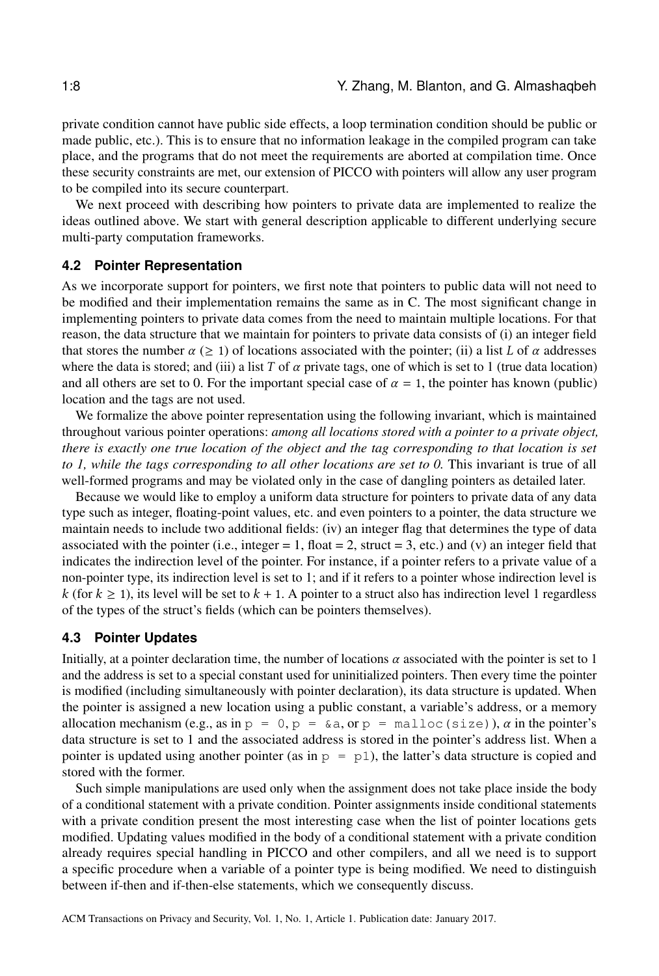private condition cannot have public side effects, a loop termination condition should be public or made public, etc.). This is to ensure that no information leakage in the compiled program can take place, and the programs that do not meet the requirements are aborted at compilation time. Once these security constraints are met, our extension of PICCO with pointers will allow any user program to be compiled into its secure counterpart.

We next proceed with describing how pointers to private data are implemented to realize the ideas outlined above. We start with general description applicable to different underlying secure multi-party computation frameworks.

#### **4.2 Pointer Representation**

As we incorporate support for pointers, we first note that pointers to public data will not need to be modified and their implementation remains the same as in C. The most significant change in implementing pointers to private data comes from the need to maintain multiple locations. For that reason, the data structure that we maintain for pointers to private data consists of (i) an integer field that stores the number  $\alpha \geq 1$  of locations associated with the pointer; (ii) a list L of  $\alpha$  addresses where the data is stored; and (iii) a list T of  $\alpha$  private tags, one of which is set to 1 (true data location) and all others are set to 0. For the important special case of  $\alpha = 1$ , the pointer has known (public) location and the tags are not used.

We formalize the above pointer representation using the following invariant, which is maintained throughout various pointer operations: *among all locations stored with a pointer to a private object, there is exactly one true location of the object and the tag corresponding to that location is set to 1, while the tags corresponding to all other locations are set to 0.* This invariant is true of all well-formed programs and may be violated only in the case of dangling pointers as detailed later.

Because we would like to employ a uniform data structure for pointers to private data of any data type such as integer, floating-point values, etc. and even pointers to a pointer, the data structure we maintain needs to include two additional fields: (iv) an integer flag that determines the type of data associated with the pointer (i.e., integer  $= 1$ , float  $= 2$ , struct  $= 3$ , etc.) and (v) an integer field that indicates the indirection level of the pointer. For instance, if a pointer refers to a private value of a non-pointer type, its indirection level is set to 1; and if it refers to a pointer whose indirection level is k (for  $k \ge 1$ ), its level will be set to  $k + 1$ . A pointer to a struct also has indirection level 1 regardless of the types of the struct's fields (which can be pointers themselves).

### **4.3 Pointer Updates**

Initially, at a pointer declaration time, the number of locations  $\alpha$  associated with the pointer is set to 1 and the address is set to a special constant used for uninitialized pointers. Then every time the pointer is modified (including simultaneously with pointer declaration), its data structure is updated. When the pointer is assigned a new location using a public constant, a variable's address, or a memory allocation mechanism (e.g., as in  $p = 0$ ,  $p = \alpha a$ , or  $p = \text{malloc}(size)$ ),  $\alpha$  in the pointer's data structure is set to 1 and the associated address is stored in the pointer's address list. When a pointer is updated using another pointer (as in  $p = p1$ ), the latter's data structure is copied and stored with the former.

Such simple manipulations are used only when the assignment does not take place inside the body of a conditional statement with a private condition. Pointer assignments inside conditional statements with a private condition present the most interesting case when the list of pointer locations gets modified. Updating values modified in the body of a conditional statement with a private condition already requires special handling in PICCO and other compilers, and all we need is to support a specific procedure when a variable of a pointer type is being modified. We need to distinguish between if-then and if-then-else statements, which we consequently discuss.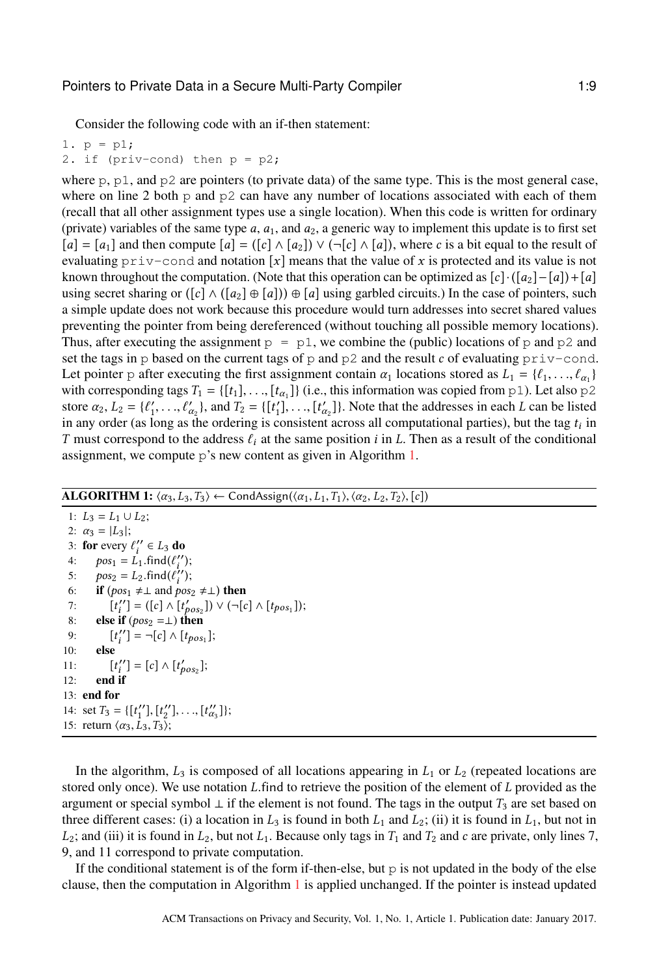Consider the following code with an if-then statement:

1. p = p1;

2. if (priv-cond) then  $p = p2$ ;

where  $p$ ,  $p1$ , and  $p2$  are pointers (to private data) of the same type. This is the most general case, where on line 2 both p and  $p^2$  can have any number of locations associated with each of them (recall that all other assignment types use a single location). When this code is written for ordinary (private) variables of the same type  $a$ ,  $a_1$ , and  $a_2$ , a generic way to implement this update is to first set  $[a] = [a_1]$  and then compute  $[a] = ([c] \wedge [a_2]) \vee (\neg [c] \wedge [a])$ , where c is a bit equal to the result of evaluating  $\text{priv--cond}$  and notation [x] means that the value of x is protected and its value is not known throughout the computation. (Note that this operation can be optimized as  $[c] \cdot ([a_2] - [a]) + [a]$ using secret sharing or  $([c] \wedge ([a_2] \oplus [a])) \oplus [a]$  using garbled circuits.) In the case of pointers, such a simple update does not work because this procedure would turn addresses into secret shared values preventing the pointer from being dereferenced (without touching all possible memory locations). Thus, after executing the assignment  $p = p1$ , we combine the (public) locations of p and p2 and set the tags in p based on the current tags of p and p2 and the result c of evaluating  $\text{priv-cond.}$ Let pointer p after executing the first assignment contain  $\alpha_1$  locations stored as  $L_1 = \{\ell_1, ..., \ell_{\alpha_1}\}$ <br>with corresponding tags  $T_n = \{t_1, ..., t_n\}$  (i.e., this information was conject from  $n \ge 1$ ). Let also  $n \ge 2$ with corresponding tags  $T_1 = \{[t_1], \ldots, [t_{\alpha_1}]\}$  (i.e., this information was copied from p1). Let also p2<br>store  $\alpha_2 \cdot I_2 = [f' \ldots f' \ldots \ldots f]$  [t'] Note that the addresses in each L can be listed store  $\alpha_2$ ,  $L_2 = \{\ell'_1, \ldots, \ell'_{\alpha_2}\},$  and  $T_2 = \{\lfloor t'_1 \rfloor, \ldots, \lfloor t'_{\alpha_2} \rfloor\}.$  Note that the addresses in each L can be listed<br>in any order (as long as the ordering is consistent across all computational parties), but in any order (as long as the ordering is consistent across all computational parties), but the tag  $t_i$  in<br>T must correspond to the address  $\ell$ , at the same position i in I. Then as a result of the conditional T must correspond to the address  $\ell_i$  at the same position i in L. Then as a result of the conditional assignment, we compute p's new content as given in Algorithm [1.](#page-8-0)

### ALGORITHM 1:  $\langle \alpha_3, L_3, T_3 \rangle \leftarrow$  CondAssign( $\langle \alpha_1, L_1, T_1 \rangle$ ,  $\langle \alpha_2, L_2, T_2 \rangle$ , [c])

<span id="page-8-0"></span>1:  $L_3 = L_1 \cup L_2$ ; 2:  $\alpha_3 = |L_3|$ ; 3: for every  $\ell_i^{\prime\prime} \in L_3$  do<br>4:  $\log_2 = L_4$  find  $(\ell^{\prime\prime})$ 4:  $pos_1 = L_1$ .find $(\ell_i'')$ ;<br>5:  $pos_2 = L_2$  find $(\ell'')$ ; 5:  $pos_2 = L_2$ .find $(\ell_i'')$ ;<br>6: **if** (nos.  $\pm 1$  and nos. 6: **if**  $(pos_1 \neq \bot \text{ and } pos_2 \neq \bot)$  then 7:  $[t_i''] = ([c] \wedge [t_{pos_2}']$ <br>8: **else if**  $(pos_2 = \perp)$  then<br>0:  $[t''] = -[c] \wedge [t]$  $'_{i} = ([c] \wedge [t'_{pos_2}]) \vee (\neg [c] \wedge [t_{pos_1}]);$ 9: [t]
9: 9:  ${''}_{i}$ ] =  $\neg[c] \wedge [t_{pos_1}];$ 11:  $\begin{bmatrix} t_i'' \\ 12 \end{bmatrix}$  end if  $\begin{bmatrix} t' \\ i' \end{bmatrix} = [c] \wedge [t'_{p}]$  $_{pos_2}$ ]; 13: end for 14: set  $T_3 = \{ [t_1''], [t_2''], \ldots, [t_{\alpha_3}'] \}$ <br>15: return  $(\alpha_2, I_2, T_3)$ .  $\binom{n}{\alpha_3}$ ; 15: return  $\langle \alpha_3, L_3, T_3 \rangle$ ;

In the algorithm,  $L_3$  is composed of all locations appearing in  $L_1$  or  $L_2$  (repeated locations are stored only once). We use notation L.find to retrieve the position of the element of L provided as the argument or special symbol  $\perp$  if the element is not found. The tags in the output  $T_3$  are set based on three different cases: (i) a location in  $L_3$  is found in both  $L_1$  and  $L_2$ ; (ii) it is found in  $L_1$ , but not in  $L_2$ ; and (iii) it is found in  $L_2$ , but not  $L_1$ . Because only tags in  $T_1$  and  $T_2$  and c are private, only lines 7, 9, and 11 correspond to private computation.

If the conditional statement is of the form if-then-else, but  $p$  is not updated in the body of the else clause, then the computation in Algorithm [1](#page-8-0) is applied unchanged. If the pointer is instead updated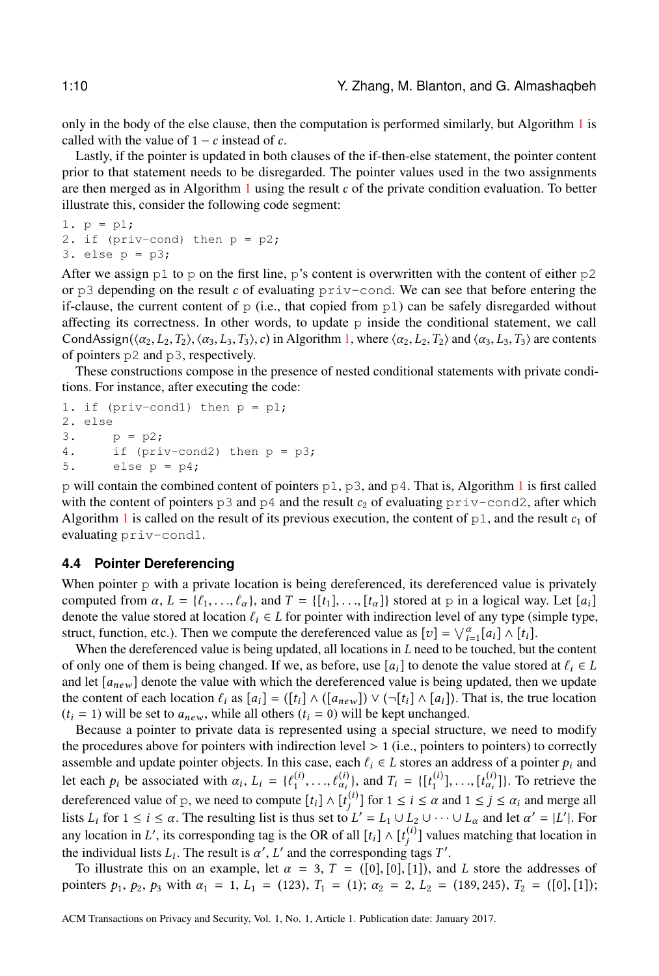only in the body of the else clause, then the computation is performed similarly, but Algorithm [1](#page-8-0) is called with the value of  $1 - c$  instead of c.

Lastly, if the pointer is updated in both clauses of the if-then-else statement, the pointer content prior to that statement needs to be disregarded. The pointer values used in the two assignments are then merged as in Algorithm  $1$  using the result  $c$  of the private condition evaluation. To better illustrate this, consider the following code segment:

```
1. p = p1;2. if (priv-cond) then p = p2;
3. else p = p3;
```
After we assign  $p1$  to p on the first line, p's content is overwritten with the content of either  $p2$ or  $p3$  depending on the result c of evaluating  $priv$ -cond. We can see that before entering the if-clause, the current content of  $p$  (i.e., that copied from  $p1$ ) can be safely disregarded without affecting its correctness. In other words, to update  $p$  inside the conditional statement, we call CondAssign( $\langle \alpha_2, L_2, T_2 \rangle$ ,  $\langle \alpha_3, L_3, T_3 \rangle$ , c) in Algorithm [1,](#page-8-0) where  $\langle \alpha_2, L_2, T_2 \rangle$  and  $\langle \alpha_3, L_3, T_3 \rangle$  are contents of pointers p2 and p3, respectively.

These constructions compose in the presence of nested conditional statements with private conditions. For instance, after executing the code:

```
1. if (priv-cond1) then p = p1;
2. else
3. p = p2;4. if (priv-cond2) then p = p3;
5. else p = p4;
```
p will contain the combined content of pointers  $p1$  $p1$ ,  $p3$ , and  $p4$ . That is, Algorithm 1 is first called with the content of pointers p3 and p4 and the result  $c_2$  of evaluating priv-cond2, after which Algorithm [1](#page-8-0) is called on the result of its previous execution, the content of  $p_1$ , and the result  $c_1$  of evaluating priv-cond1.

### **4.4 Pointer Dereferencing**

When pointer p with a private location is being dereferenced, its dereferenced value is privately computed from  $\alpha$ ,  $L = \{\ell_1, \ldots, \ell_{\alpha}\}\$ , and  $T = \{\lbrack t_1, \ldots, t_{\alpha}\rbrack\}$  stored at p in a logical way. Let  $[a_i]$ denote the value stored at location  $\ell_i \in L$  for pointer with indirection level of any type (simple type, struct, function, etc.). Then we compute the dereferenced value as  $[v] = \bigvee_{i=1}^{\alpha} [a_i] \wedge [t_i]$ .<br>When the dereferenced value is being undated all locations in *I* need to be touched but

when the dereferenced value is being updated, all locations in L need to be touched, but the content<br>when the dereferenced value is being updated, all locations in L need to be touched, but the content<br>only one of them is of only one of them is being changed. If we, as before, use  $[a_i]$  to denote the value stored at  $\ell_i \in L$ and let  $[a_{new}]$  denote the value with which the dereferenced value is being updated, then we update the content of each location  $\ell_i$  as  $[a_i] = (\lbrack t_i \rbrack \wedge (\lbrack a_{new} \rbrack) \vee (\lbrack \neg [t_i] \wedge [a_i])$ . That is, the true location  $(t<sub>i</sub> = 1)$  will be set to  $a<sub>new</sub>$ , while all others  $(t<sub>i</sub> = 0)$  will be kept unchanged.

Because a pointer to private data is represented using a special structure, we need to modify the procedures above for pointers with indirection level  $> 1$  (i.e., pointers to pointers) to correctly assemble and update pointer objects. In this case, each  $\ell_i \in L$  stores an address of a pointer  $p_i$  and let each  $p_i$  be associated with  $\alpha_i$ ,  $L_i = \{\ell_1^{(i)}, \ldots, \ell_{\alpha_i}^{(i)}\}$ , and  $T_i = \{\lbrack t_1^{(i)} \rbrack, \ldots, \lbrack t_{\alpha_i}^{(i)} \rbrack\}$ . To retrieve the dereferenced value of p, we need to compute  $[t_i] \wedge [t_j^{(i)}]$  for  $1 \le i \le \alpha$  and  $1 \le j \le \alpha_i$  and merge all lists I, for  $1 \le i \le \alpha$ . The resulting list is thus set to  $I'_j = I_j + I_j$ ,  $[1 \mod 1]$  and let  $\alpha' = [I'_j]$ . For lists  $L_i$  for  $1 \le i \le \alpha$ . The resulting list is thus set to  $L' = L_1 \cup L_2 \cup \cdots \cup L_\alpha$  and let  $\alpha' = |L'|$ . For any location in L', its corresponding tag is the OR of all  $[t_i] \wedge [t_j^{(i)}]$  values matching that location in the individual lists L. The result is  $\alpha'$ , L' and the corresponding tags  $T'$ . the individual lists  $L_i$ . The result is  $\alpha'$ ,  $L'$  and the corresponding tags T'.<br>To illustrate this on an example, let  $\alpha = 3$ ,  $T = (0.0, 0.0, 1.1)$ , and

To illustrate this on an example, let  $\alpha = 3$ ,  $T = ([0], [0], [1])$ , and L store the addresses of pointers  $p_1$ ,  $p_2$ ,  $p_3$  with  $\alpha_1 = 1$ ,  $L_1 = (123)$ ,  $T_1 = (1)$ ;  $\alpha_2 = 2$ ,  $L_2 = (189, 245)$ ,  $T_2 = ([0], [1])$ ;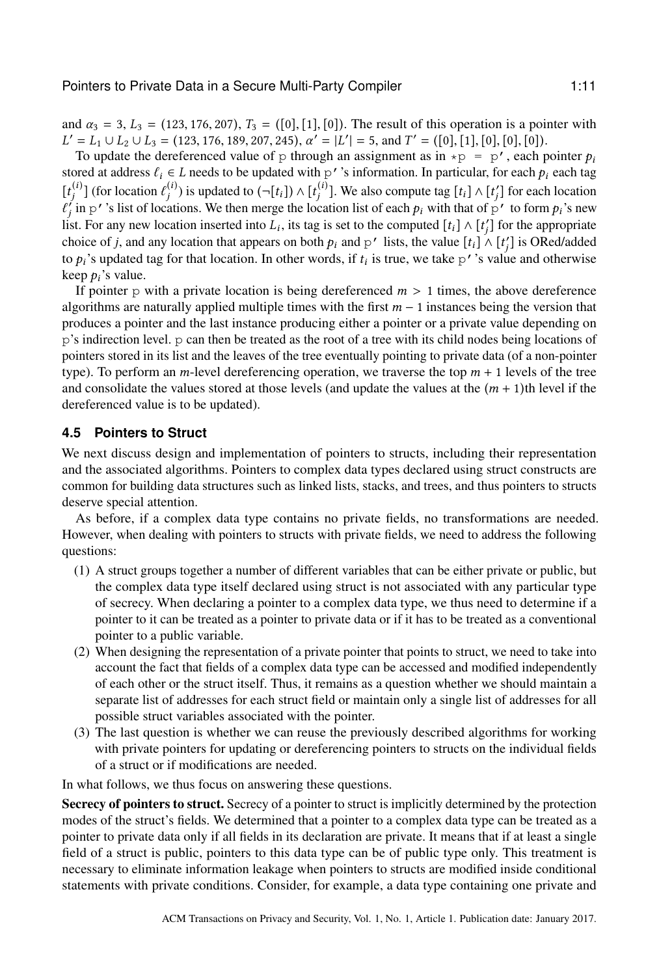and  $\alpha_3 = 3$ ,  $L_3 = (123, 176, 207)$ ,  $T_3 = ([0], [1], [0])$ . The result of this operation is a pointer with  $L' = L_1 \cup L_2 \cup L_3 = (123, 176, 189, 207, 245), \alpha' = |L'| = 5$ , and  $T' = ([0], [1], [0], [0], [0])$ .<br>To undate the dereferenced value of p through an assignment as in  $\pm p = p'$  each r

To update the dereferenced value of p through an assignment as in  $\star p = p'$ , each pointer  $p_i$ stored at address  $\ell_i \in L$  needs to be updated with p''s information. In particular, for each  $p_i$  each tag  $[t_j^{(i)}]$  (for location  $\ell_j^{(i)}$ ) is updated to  $(\neg[t_i]) \wedge [t_j^{(i)}]$ . We also compute tag  $[t_i] \wedge [t_j']$  for each location  $\ell_j'$  in  $\sim l$  is list of locations. We then merge the location list of each a with that of  $\sim'$  to  $\tilde{j}$  in p''s list of locations. We then merge the location list of each  $p_i$  with that of p' to form  $p_i$ 's new<br>st. For any new location inserted into L, its tag is set to the computed [t,] A [t'] for the appropriate list. For any new location inserted into  $L_i$ , its tag is set to the computed  $[t_i] \wedge [t'_j]$  for the appropriate choice of i and any location that appears on both a and a', lists the value  $[t] \wedge [t']$  is OPed/odded choice of *j*, and any location that appears on both  $p_i$  and p' lists, the value  $[t_i] \wedge [t'_j]$  is ORed/added to p.'s updated tag for that location. In other words, if t, is true, we take p' 's value and otherwise to  $p_i$ 's updated tag for that location. In other words, if  $t_i$  is true, we take p''s value and otherwise keep  $p_i$ 's value.

If pointer p with a private location is being dereferenced  $m > 1$  times, the above dereference algorithms are naturally applied multiple times with the first  $m - 1$  instances being the version that produces a pointer and the last instance producing either a pointer or a private value depending on p's indirection level. p can then be treated as the root of a tree with its child nodes being locations of pointers stored in its list and the leaves of the tree eventually pointing to private data (of a non-pointer type). To perform an *m*-level dereferencing operation, we traverse the top  $m + 1$  levels of the tree and consolidate the values stored at those levels (and update the values at the  $(m + 1)$ th level if the dereferenced value is to be updated).

# **4.5 Pointers to Struct**

We next discuss design and implementation of pointers to structs, including their representation and the associated algorithms. Pointers to complex data types declared using struct constructs are common for building data structures such as linked lists, stacks, and trees, and thus pointers to structs deserve special attention.

As before, if a complex data type contains no private fields, no transformations are needed. However, when dealing with pointers to structs with private fields, we need to address the following questions:

- (1) A struct groups together a number of different variables that can be either private or public, but the complex data type itself declared using struct is not associated with any particular type of secrecy. When declaring a pointer to a complex data type, we thus need to determine if a pointer to it can be treated as a pointer to private data or if it has to be treated as a conventional pointer to a public variable.
- (2) When designing the representation of a private pointer that points to struct, we need to take into account the fact that fields of a complex data type can be accessed and modified independently of each other or the struct itself. Thus, it remains as a question whether we should maintain a separate list of addresses for each struct field or maintain only a single list of addresses for all possible struct variables associated with the pointer.
- (3) The last question is whether we can reuse the previously described algorithms for working with private pointers for updating or dereferencing pointers to structs on the individual fields of a struct or if modifications are needed.

In what follows, we thus focus on answering these questions.

Secrecy of pointers to struct. Secrecy of a pointer to struct is implicitly determined by the protection modes of the struct's fields. We determined that a pointer to a complex data type can be treated as a pointer to private data only if all fields in its declaration are private. It means that if at least a single field of a struct is public, pointers to this data type can be of public type only. This treatment is necessary to eliminate information leakage when pointers to structs are modified inside conditional statements with private conditions. Consider, for example, a data type containing one private and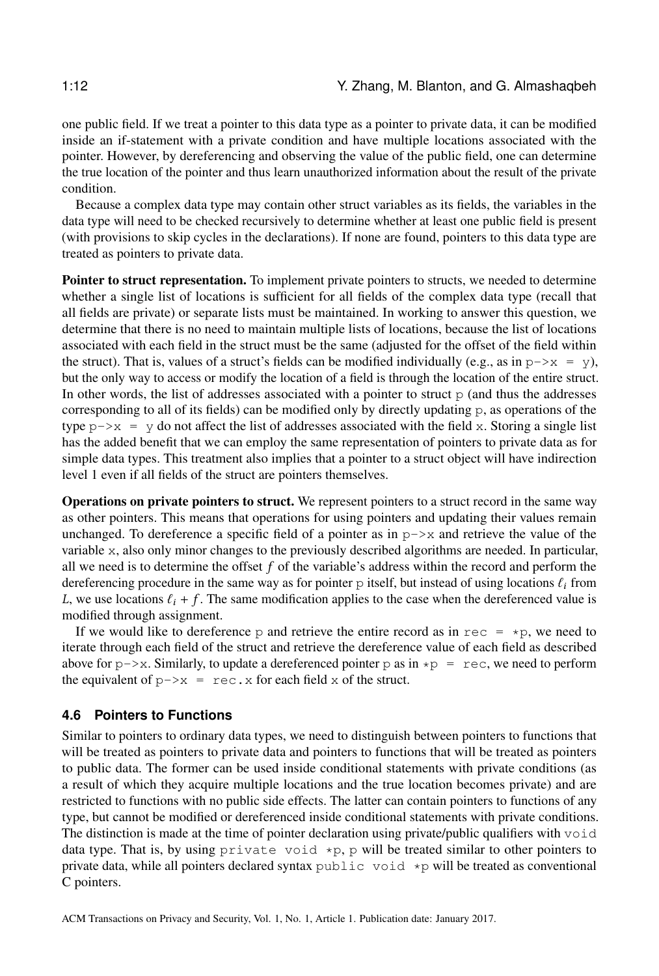one public field. If we treat a pointer to this data type as a pointer to private data, it can be modified inside an if-statement with a private condition and have multiple locations associated with the pointer. However, by dereferencing and observing the value of the public field, one can determine the true location of the pointer and thus learn unauthorized information about the result of the private condition.

Because a complex data type may contain other struct variables as its fields, the variables in the data type will need to be checked recursively to determine whether at least one public field is present (with provisions to skip cycles in the declarations). If none are found, pointers to this data type are treated as pointers to private data.

Pointer to struct representation. To implement private pointers to structs, we needed to determine whether a single list of locations is sufficient for all fields of the complex data type (recall that all fields are private) or separate lists must be maintained. In working to answer this question, we determine that there is no need to maintain multiple lists of locations, because the list of locations associated with each field in the struct must be the same (adjusted for the offset of the field within the struct). That is, values of a struct's fields can be modified individually (e.g., as in  $p\rightarrow x = y$ ), but the only way to access or modify the location of a field is through the location of the entire struct. In other words, the list of addresses associated with a pointer to struct  $p$  (and thus the addresses corresponding to all of its fields) can be modified only by directly updating p, as operations of the type  $p\rightarrow x = y$  do not affect the list of addresses associated with the field x. Storing a single list has the added benefit that we can employ the same representation of pointers to private data as for simple data types. This treatment also implies that a pointer to a struct object will have indirection level 1 even if all fields of the struct are pointers themselves.

Operations on private pointers to struct. We represent pointers to a struct record in the same way as other pointers. This means that operations for using pointers and updating their values remain unchanged. To dereference a specific field of a pointer as in  $p \rightarrow x$  and retrieve the value of the variable x, also only minor changes to the previously described algorithms are needed. In particular, all we need is to determine the offset  $f$  of the variable's address within the record and perform the dereferencing procedure in the same way as for pointer  $p$  itself, but instead of using locations  $\ell_i$  from L, we use locations  $\ell_i + f$ . The same modification applies to the case when the dereferenced value is modified through assignment.

If we would like to dereference p and retrieve the entire record as in rec  $= *p$ , we need to iterate through each field of the struct and retrieve the dereference value of each field as described above for  $p\rightarrow x$ . Similarly, to update a dereferenced pointer p as in  $\ast p = \text{rec}$ , we need to perform the equivalent of  $p \rightarrow x = r \in \mathbb{C}$ . x for each field x of the struct.

## **4.6 Pointers to Functions**

Similar to pointers to ordinary data types, we need to distinguish between pointers to functions that will be treated as pointers to private data and pointers to functions that will be treated as pointers to public data. The former can be used inside conditional statements with private conditions (as a result of which they acquire multiple locations and the true location becomes private) and are restricted to functions with no public side effects. The latter can contain pointers to functions of any type, but cannot be modified or dereferenced inside conditional statements with private conditions. The distinction is made at the time of pointer declaration using private/public qualifiers with void data type. That is, by using private void  $\star$ p, p will be treated similar to other pointers to private data, while all pointers declared syntax public void  $\star$ p will be treated as conventional C pointers.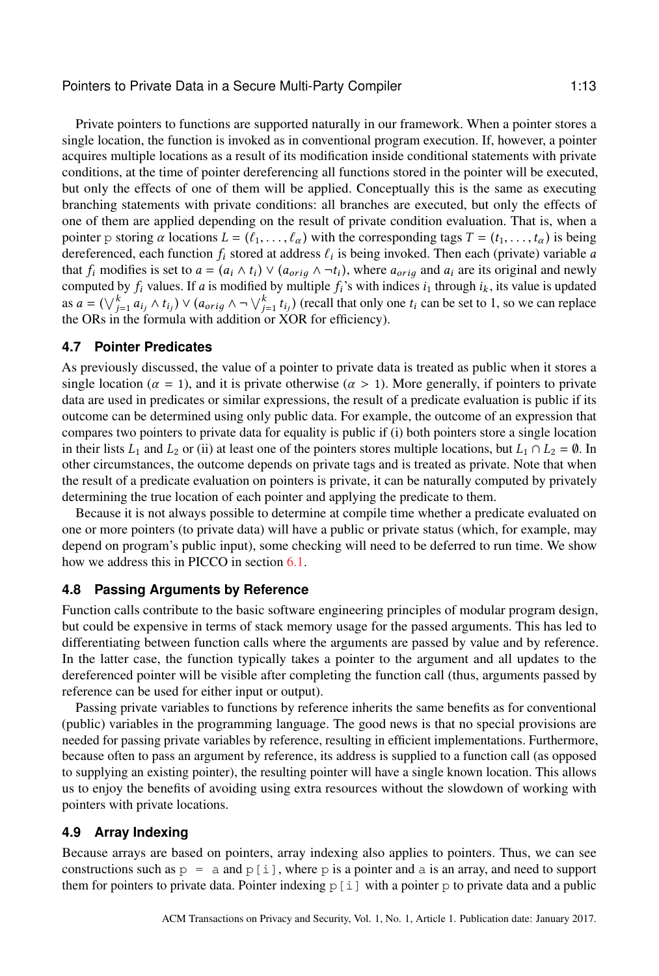Private pointers to functions are supported naturally in our framework. When a pointer stores a single location, the function is invoked as in conventional program execution. If, however, a pointer acquires multiple locations as a result of its modification inside conditional statements with private conditions, at the time of pointer dereferencing all functions stored in the pointer will be executed, but only the effects of one of them will be applied. Conceptually this is the same as executing branching statements with private conditions: all branches are executed, but only the effects of one of them are applied depending on the result of private condition evaluation. That is, when a pointer p storing  $\alpha$  locations  $L = (\ell_1, \ldots, \ell_\alpha)$  with the corresponding tags  $T = (t_1, \ldots, t_\alpha)$  is being dereferenced, each function  $f_i$  stored at address  $\ell_i$  is being invoked. Then each (private) variable a<br>that f, modifies is set to  $a = (a, \lambda, t) \vee (a, \lambda, \lambda, \lambda)$ , where  $a, \lambda$  and  $a$ , are its original and newly that  $f_i$  modifies is set to  $a = (a_i \wedge t_i) \vee (a_{orig} \wedge \neg t_i)$ , where  $a_{orig}$  and  $a_i$  are its original and newly<br>computed by  $f$ , values If  $a$  is modified by multiple  $f_i$ 's with indices i, through i, its value is undated computed by  $f_i$  values. If a is modified by multiple  $f_i$ 's with indices  $i_1$  through  $i_k$ , its value is updated as  $a = (\bigvee_{j=1}^{k} a_{i_j} \wedge t_{i_j}) \vee (a_{orig} \wedge \neg \bigvee_{j=1}^{k} t_{i_j})$  (recall that only one  $t_i$  can be set to 1, so we can replace the OBs in the formula with addition or XOB for efficiency) as  $u = (\sqrt{1+u_i}, \sqrt{u_i}, \sqrt{u_i}, \sqrt{u_i}, \sqrt{u_i}, \sqrt{u_i}, \sqrt{u_i}, \sqrt{u_i}, \sqrt{u_i}, \sqrt{u_i}, \sqrt{u_i}, \sqrt{u_i}, \sqrt{u_i}, \sqrt{u_i}, \sqrt{u_i}, \sqrt{u_i}, \sqrt{u_i}, \sqrt{u_i}, \sqrt{u_i}, \sqrt{u_i}, \sqrt{u_i}, \sqrt{u_i}, \sqrt{u_i}, \sqrt{u_i}, \sqrt{u_i}, \sqrt{u_i}, \sqrt{u_i}, \sqrt{u_i}, \sqrt{u_i}, \sqrt{u_i}, \sqrt{u_i}, \sqrt{u_i}, \sqrt{u_i}, \sqrt{u_i}, \sqrt{u_i}, \sqrt{$ 

### **4.7 Pointer Predicates**

As previously discussed, the value of a pointer to private data is treated as public when it stores a single location ( $\alpha = 1$ ), and it is private otherwise ( $\alpha > 1$ ). More generally, if pointers to private data are used in predicates or similar expressions, the result of a predicate evaluation is public if its outcome can be determined using only public data. For example, the outcome of an expression that compares two pointers to private data for equality is public if (i) both pointers store a single location in their lists  $L_1$  and  $L_2$  or (ii) at least one of the pointers stores multiple locations, but  $L_1 \cap L_2 = \emptyset$ . In other circumstances, the outcome depends on private tags and is treated as private. Note that when the result of a predicate evaluation on pointers is private, it can be naturally computed by privately determining the true location of each pointer and applying the predicate to them.

Because it is not always possible to determine at compile time whether a predicate evaluated on one or more pointers (to private data) will have a public or private status (which, for example, may depend on program's public input), some checking will need to be deferred to run time. We show how we address this in PICCO in section [6.1.](#page-17-1)

### **4.8 Passing Arguments by Reference**

Function calls contribute to the basic software engineering principles of modular program design, but could be expensive in terms of stack memory usage for the passed arguments. This has led to differentiating between function calls where the arguments are passed by value and by reference. In the latter case, the function typically takes a pointer to the argument and all updates to the dereferenced pointer will be visible after completing the function call (thus, arguments passed by reference can be used for either input or output).

Passing private variables to functions by reference inherits the same benefits as for conventional (public) variables in the programming language. The good news is that no special provisions are needed for passing private variables by reference, resulting in efficient implementations. Furthermore, because often to pass an argument by reference, its address is supplied to a function call (as opposed to supplying an existing pointer), the resulting pointer will have a single known location. This allows us to enjoy the benefits of avoiding using extra resources without the slowdown of working with pointers with private locations.

### **4.9 Array Indexing**

Because arrays are based on pointers, array indexing also applies to pointers. Thus, we can see constructions such as  $p = a$  and  $p[i]$ , where p is a pointer and a is an array, and need to support them for pointers to private data. Pointer indexing  $p[i]$  with a pointer p to private data and a public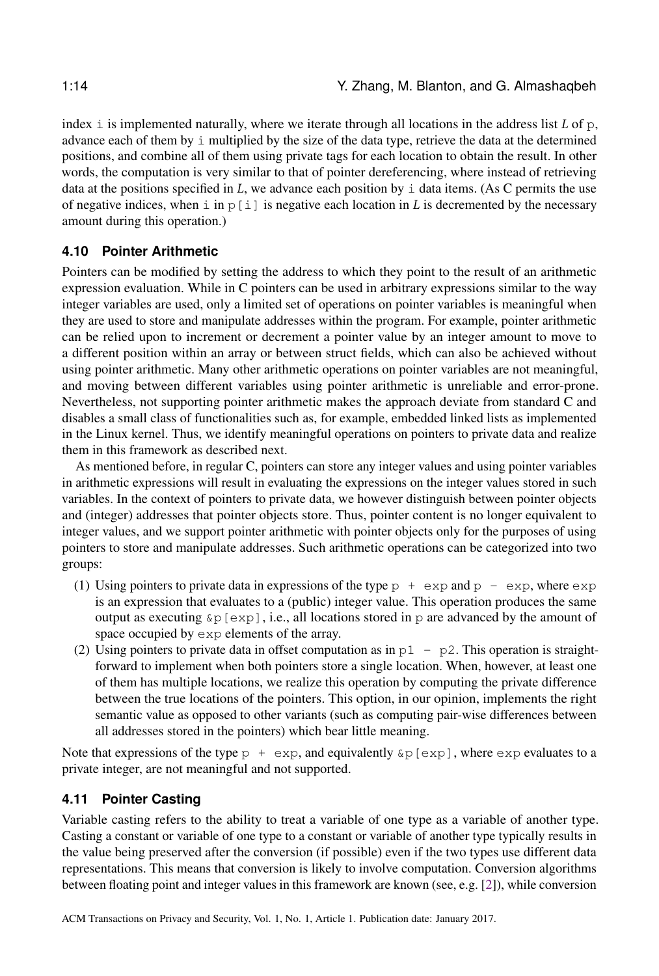index  $\dot{a}$  is implemented naturally, where we iterate through all locations in the address list L of p, advance each of them by i multiplied by the size of the data type, retrieve the data at the determined positions, and combine all of them using private tags for each location to obtain the result. In other words, the computation is very similar to that of pointer dereferencing, where instead of retrieving data at the positions specified in L, we advance each position by  $\pm$  data items. (As C permits the use of negative indices, when i in  $p[i]$  is negative each location in L is decremented by the necessary amount during this operation.)

# **4.10 Pointer Arithmetic**

Pointers can be modified by setting the address to which they point to the result of an arithmetic expression evaluation. While in C pointers can be used in arbitrary expressions similar to the way integer variables are used, only a limited set of operations on pointer variables is meaningful when they are used to store and manipulate addresses within the program. For example, pointer arithmetic can be relied upon to increment or decrement a pointer value by an integer amount to move to a different position within an array or between struct fields, which can also be achieved without using pointer arithmetic. Many other arithmetic operations on pointer variables are not meaningful, and moving between different variables using pointer arithmetic is unreliable and error-prone. Nevertheless, not supporting pointer arithmetic makes the approach deviate from standard C and disables a small class of functionalities such as, for example, embedded linked lists as implemented in the Linux kernel. Thus, we identify meaningful operations on pointers to private data and realize them in this framework as described next.

As mentioned before, in regular C, pointers can store any integer values and using pointer variables in arithmetic expressions will result in evaluating the expressions on the integer values stored in such variables. In the context of pointers to private data, we however distinguish between pointer objects and (integer) addresses that pointer objects store. Thus, pointer content is no longer equivalent to integer values, and we support pointer arithmetic with pointer objects only for the purposes of using pointers to store and manipulate addresses. Such arithmetic operations can be categorized into two groups:

- (1) Using pointers to private data in expressions of the type  $p + \exp$  and  $p \exp$ , where  $\exp$ is an expression that evaluates to a (public) integer value. This operation produces the same output as executing  $\&p$  [exp], i.e., all locations stored in p are advanced by the amount of space occupied by  $\exp$  elements of the array.
- (2) Using pointers to private data in offset computation as in  $p1 p2$ . This operation is straightforward to implement when both pointers store a single location. When, however, at least one of them has multiple locations, we realize this operation by computing the private difference between the true locations of the pointers. This option, in our opinion, implements the right semantic value as opposed to other variants (such as computing pair-wise differences between all addresses stored in the pointers) which bear little meaning.

Note that expressions of the type  $p + \exp$ , and equivalently  $\exp[\exp]$ , where  $\exp$  evaluates to a private integer, are not meaningful and not supported.

# **4.11 Pointer Casting**

Variable casting refers to the ability to treat a variable of one type as a variable of another type. Casting a constant or variable of one type to a constant or variable of another type typically results in the value being preserved after the conversion (if possible) even if the two types use different data representations. This means that conversion is likely to involve computation. Conversion algorithms between floating point and integer values in this framework are known (see, e.g. [\[2\]](#page-31-5)), while conversion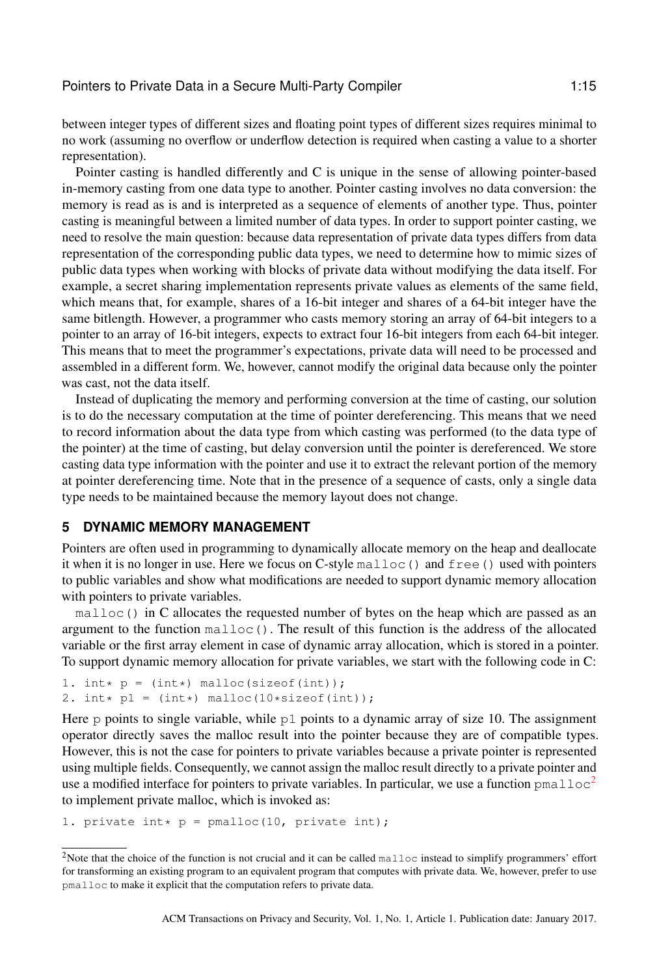between integer types of different sizes and floating point types of different sizes requires minimal to no work (assuming no overflow or underflow detection is required when casting a value to a shorter representation).

Pointer casting is handled differently and C is unique in the sense of allowing pointer-based in-memory casting from one data type to another. Pointer casting involves no data conversion: the memory is read as is and is interpreted as a sequence of elements of another type. Thus, pointer casting is meaningful between a limited number of data types. In order to support pointer casting, we need to resolve the main question: because data representation of private data types differs from data representation of the corresponding public data types, we need to determine how to mimic sizes of public data types when working with blocks of private data without modifying the data itself. For example, a secret sharing implementation represents private values as elements of the same field, which means that, for example, shares of a 16-bit integer and shares of a 64-bit integer have the same bitlength. However, a programmer who casts memory storing an array of 64-bit integers to a pointer to an array of 16-bit integers, expects to extract four 16-bit integers from each 64-bit integer. This means that to meet the programmer's expectations, private data will need to be processed and assembled in a different form. We, however, cannot modify the original data because only the pointer was cast, not the data itself.

Instead of duplicating the memory and performing conversion at the time of casting, our solution is to do the necessary computation at the time of pointer dereferencing. This means that we need to record information about the data type from which casting was performed (to the data type of the pointer) at the time of casting, but delay conversion until the pointer is dereferenced. We store casting data type information with the pointer and use it to extract the relevant portion of the memory at pointer dereferencing time. Note that in the presence of a sequence of casts, only a single data type needs to be maintained because the memory layout does not change.

# <span id="page-14-0"></span>**5 DYNAMIC MEMORY MANAGEMENT**

Pointers are often used in programming to dynamically allocate memory on the heap and deallocate it when it is no longer in use. Here we focus on C-style malloc() and free() used with pointers to public variables and show what modifications are needed to support dynamic memory allocation with pointers to private variables.

 $m$ alloc() in C allocates the requested number of bytes on the heap which are passed as an argument to the function  $\text{malloc}(.)$ . The result of this function is the address of the allocated variable or the first array element in case of dynamic array allocation, which is stored in a pointer. To support dynamic memory allocation for private variables, we start with the following code in C:

```
1. int * p = (int*) malloc(sizeof(int));
2. int * p1 = (int*) malloc(10*sizeof(int));
```
Here  $p$  points to single variable, while  $p1$  points to a dynamic array of size 10. The assignment operator directly saves the malloc result into the pointer because they are of compatible types. However, this is not the case for pointers to private variables because a private pointer is represented using multiple fields. Consequently, we cannot assign the malloc result directly to a private pointer and use a modified interface for pointers to private variables. In particular, we use a function  $p_{\text{malloc}}^2$  $p_{\text{malloc}}^2$ to implement private malloc, which is invoked as:

```
1. private int* p = pmalloc(10, private int);
```
<span id="page-14-1"></span><sup>&</sup>lt;sup>2</sup>Note that the choice of the function is not crucial and it can be called malloc instead to simplify programmers' effort for transforming an existing program to an equivalent program that computes with private data. We, however, prefer to use pmalloc to make it explicit that the computation refers to private data.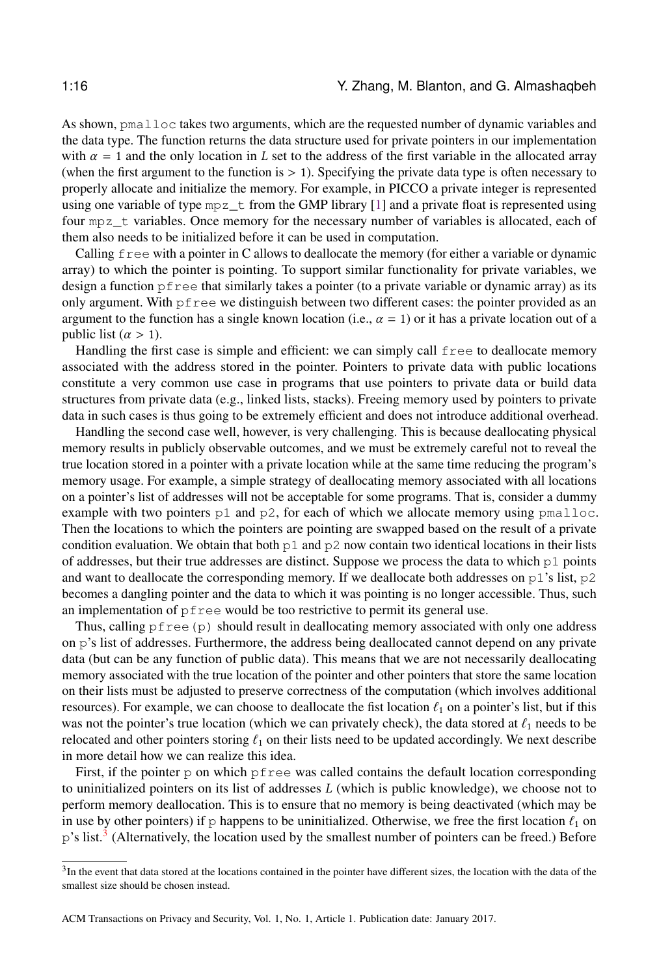As shown, pmalloc takes two arguments, which are the requested number of dynamic variables and the data type. The function returns the data structure used for private pointers in our implementation with  $\alpha = 1$  and the only location in L set to the address of the first variable in the allocated array (when the first argument to the function is  $> 1$ ). Specifying the private data type is often necessary to properly allocate and initialize the memory. For example, in PICCO a private integer is represented using one variable of type  $mpz$  from the GMP library [\[1\]](#page-31-6) and a private float is represented using four mpz\_t variables. Once memory for the necessary number of variables is allocated, each of them also needs to be initialized before it can be used in computation.

Calling free with a pointer in C allows to deallocate the memory (for either a variable or dynamic array) to which the pointer is pointing. To support similar functionality for private variables, we design a function pfree that similarly takes a pointer (to a private variable or dynamic array) as its only argument. With pfree we distinguish between two different cases: the pointer provided as an argument to the function has a single known location (i.e.,  $\alpha = 1$ ) or it has a private location out of a public list  $(\alpha > 1)$ .

Handling the first case is simple and efficient: we can simply call free to deallocate memory associated with the address stored in the pointer. Pointers to private data with public locations constitute a very common use case in programs that use pointers to private data or build data structures from private data (e.g., linked lists, stacks). Freeing memory used by pointers to private data in such cases is thus going to be extremely efficient and does not introduce additional overhead.

Handling the second case well, however, is very challenging. This is because deallocating physical memory results in publicly observable outcomes, and we must be extremely careful not to reveal the true location stored in a pointer with a private location while at the same time reducing the program's memory usage. For example, a simple strategy of deallocating memory associated with all locations on a pointer's list of addresses will not be acceptable for some programs. That is, consider a dummy example with two pointers  $p1$  and  $p2$ , for each of which we allocate memory using pmalloc. Then the locations to which the pointers are pointing are swapped based on the result of a private condition evaluation. We obtain that both  $p1$  and  $p2$  now contain two identical locations in their lists of addresses, but their true addresses are distinct. Suppose we process the data to which  $p1$  points and want to deallocate the corresponding memory. If we deallocate both addresses on  $p1$ 's list,  $p2$ becomes a dangling pointer and the data to which it was pointing is no longer accessible. Thus, such an implementation of pfree would be too restrictive to permit its general use.

Thus, calling  $pfree(p)$  should result in deallocating memory associated with only one address on p's list of addresses. Furthermore, the address being deallocated cannot depend on any private data (but can be any function of public data). This means that we are not necessarily deallocating memory associated with the true location of the pointer and other pointers that store the same location on their lists must be adjusted to preserve correctness of the computation (which involves additional resources). For example, we can choose to deallocate the fist location  $\ell_1$  on a pointer's list, but if this was not the pointer's true location (which we can privately check), the data stored at  $\ell_1$  needs to be relocated and other pointers storing  $\ell_1$  on their lists need to be updated accordingly. We next describe in more detail how we can realize this idea.

First, if the pointer  $p$  on which  $p$  free was called contains the default location corresponding to uninitialized pointers on its list of addresses  $L$  (which is public knowledge), we choose not to perform memory deallocation. This is to ensure that no memory is being deactivated (which may be in use by other pointers) if p happens to be uninitialized. Otherwise, we free the first location  $\ell_1$  on p's list.<sup>[3](#page-15-0)</sup> (Alternatively, the location used by the smallest number of pointers can be freed.) Before

<span id="page-15-0"></span><sup>&</sup>lt;sup>3</sup>In the event that data stored at the locations contained in the pointer have different sizes, the location with the data of the smallest size should be chosen instead.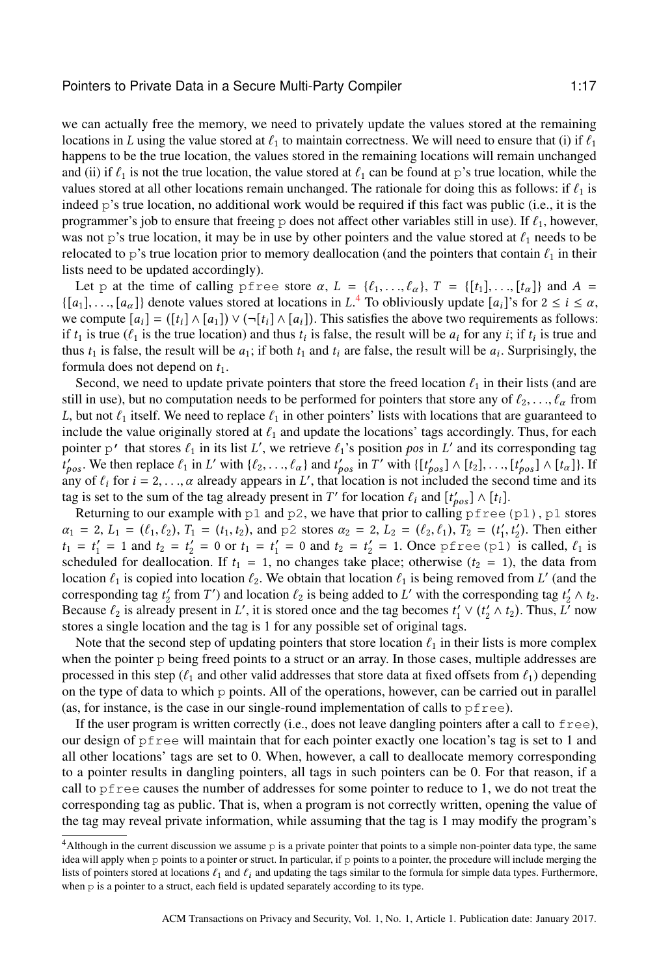we can actually free the memory, we need to privately update the values stored at the remaining locations in L using the value stored at  $\ell_1$  to maintain correctness. We will need to ensure that (i) if  $\ell_1$ happens to be the true location, the values stored in the remaining locations will remain unchanged and (ii) if  $\ell_1$  is not the true location, the value stored at  $\ell_1$  can be found at p's true location, while the values stored at all other locations remain unchanged. The rationale for doing this as follows: if  $\ell_1$  is indeed p's true location, no additional work would be required if this fact was public (i.e., it is the programmer's job to ensure that freeing p does not affect other variables still in use). If  $\ell_1$ , however, was not p's true location, it may be in use by other pointers and the value stored at  $\ell_1$  needs to be relocated to p's true location prior to memory deallocation (and the pointers that contain  $\ell_1$  in their lists need to be updated accordingly).

Let p at the time of calling pfree store  $\alpha$ ,  $L = \{\ell_1, \ldots, \ell_{\alpha}\}, T = \{\lbrack t_1, \ldots, \lbrack t_{\alpha} \rbrack \}$  and  $A =$  $\{[a_1], \ldots, [a_\alpha]\}\$  denote values stored at locations in  $L^4$  $L^4$ . To obliviously update  $[a_i]^s$  for  $2 \le i \le \alpha$ , we compute  $[a_1] - ([t_1] \wedge [a_2]) \vee (-[t_1] \wedge [a_3])$ . This satisfies the above two requirements as follows: we compute  $[a_i] = (\lfloor t_i \rfloor \wedge [a_1]) \vee (\neg[t_i] \wedge [a_i])$ . This satisfies the above two requirements as follows: if  $t_1$  is true ( $\ell_1$  is the true location) and thus  $t_i$  is false, the result will be  $a_i$  for any  $i$ ; if  $t_i$  is true and thus  $t_i$  is false, the result will be a surprisingly the thus  $t_1$  is false, the result will be  $a_1$ ; if both  $t_1$  and  $t_i$  are false, the result will be  $a_i$ . Surprisingly, the formula does not depend on  $t_1$ . formula does not depend on  $t_1$ .

Second, we need to update private pointers that store the freed location  $\ell_1$  in their lists (and are still in use), but no computation needs to be performed for pointers that store any of  $\ell_2, \ldots, \ell_\alpha$  from L, but not  $\ell_1$  itself. We need to replace  $\ell_1$  in other pointers' lists with locations that are guaranteed to include the value originally stored at  $\ell_1$  and update the locations' tags accordingly. Thus, for each pointer p' that stores  $\ell_1$  in its list L', we retrieve  $\ell_1$ 's position pos in L' and its corresponding tag<br>  $\ell'$  We then replace  $\ell_1$  in L' with  $\ell_2$  and  $\ell'$  in T' with  $\ell$  let  $\ell_1$  and  $\ell'$  and  $\ell'$  in T  $\frac{1}{1}$  for  $i = 2, ..., \alpha$  already appears in L', that location is not included the second time and its tag is set to the sum of the tag already present in T' for location  $f_i$  and  $[f' \cdot ] \wedge [f_i]$  $\gamma'_{pos}$ . We then replace  $\ell_1$  in L' with  $\{\ell_2, ..., \ell_{\alpha}\}\$  and  $t'_{pos}$  in T' with  $\{\lbrack t'_{pos} \rbrack \wedge \lbrack t_2, ..., \lbrack t'_{pos} \rbrack \wedge \lbrack t_{\alpha} \rbrack\}$ . If tag is set to the sum of the tag already present in T' for location  $\ell_i$  and  $[t'_{pos}] \wedge [t_i]$ .<br>Returning to our example with p1 and p2, we have that prior to calling p f ree.

Returning to our example with  $p1$  and  $p2$ , we have that prior to calling  $p$  free(p1), p1 stores  $\alpha_1 = 2, L_1 = (\ell_1, \ell_2), T_1 = (t_1, t_2),$  and p2 stores  $\alpha_2 = 2, L_2 = (\ell_2, \ell_1), T_2 = (t'_1, t'_2)$ . Then either  $t_1 = t' = 1$  and  $t_2 = t' = 0$  or  $t_3 = t' = 0$  and  $t_3 = t' = 1$  Open prope (p1) is called  $\ell_3$  is  $t_1 = t'_1 = 1$  and  $t_2 = t'_2 = 0$  or  $t_1 = t'_1 = 0$  and  $t_2 = t'_2 = 1$ . Once pfree (p1) is called,  $\ell_1$  is scheduled for deallocation. If  $t_1 = 1$  no changes take place; otherwise  $(t_2 = 1)$  the data from scheduled for deallocation. If  $t_1 = 1$ , no changes take place; otherwise  $(t_2 = 1)$ , the data from location  $\ell_1$  is copied into location  $\ell_2$ . We obtain that location  $\ell_1$  is being removed from L' (and the corresponding tag t'  $\Delta t_0$ ) corresponding tag  $t'_2$  from  $T'$ ) and location  $\ell_2$  is being added to L' with the corresponding tag  $t'_2 \wedge t_2$ .<br>Because  $\ell_2$  is already present in L' it is stored once and the tag becomes  $t' \vee (t' \wedge t_2)$ . Thus L' Because  $\ell_2$  is already present in L', it is stored once and the tag becomes  $t'_1 \vee (t'_2 \wedge t_2)$ . Thus,  $L^7$  now stores a single location and the tag is 1 for any possible set of original tags stores a single location and the tag is 1 for any possible set of original tags.

Note that the second step of updating pointers that store location  $\ell_1$  in their lists is more complex when the pointer p being freed points to a struct or an array. In those cases, multiple addresses are processed in this step ( $\ell_1$  and other valid addresses that store data at fixed offsets from  $\ell_1$ ) depending on the type of data to which p points. All of the operations, however, can be carried out in parallel (as, for instance, is the case in our single-round implementation of calls to  $pfree$ ).

If the user program is written correctly (i.e., does not leave dangling pointers after a call to  $f$ ree), our design of pfree will maintain that for each pointer exactly one location's tag is set to 1 and all other locations' tags are set to 0. When, however, a call to deallocate memory corresponding to a pointer results in dangling pointers, all tags in such pointers can be 0. For that reason, if a call to pfree causes the number of addresses for some pointer to reduce to 1, we do not treat the corresponding tag as public. That is, when a program is not correctly written, opening the value of the tag may reveal private information, while assuming that the tag is 1 may modify the program's

<span id="page-16-0"></span><sup>&</sup>lt;sup>4</sup>Although in the current discussion we assume p is a private pointer that points to a simple non-pointer data type, the same idea will apply when p points to a pointer or struct. In particular, if p points to a pointer, the procedure will include merging the lists of pointers stored at locations  $\ell_1$  and  $\ell_i$  and updating the tags similar to the formula for simple data types. Furthermore, when p is a pointer to a struct, each field is updated separately according to its type.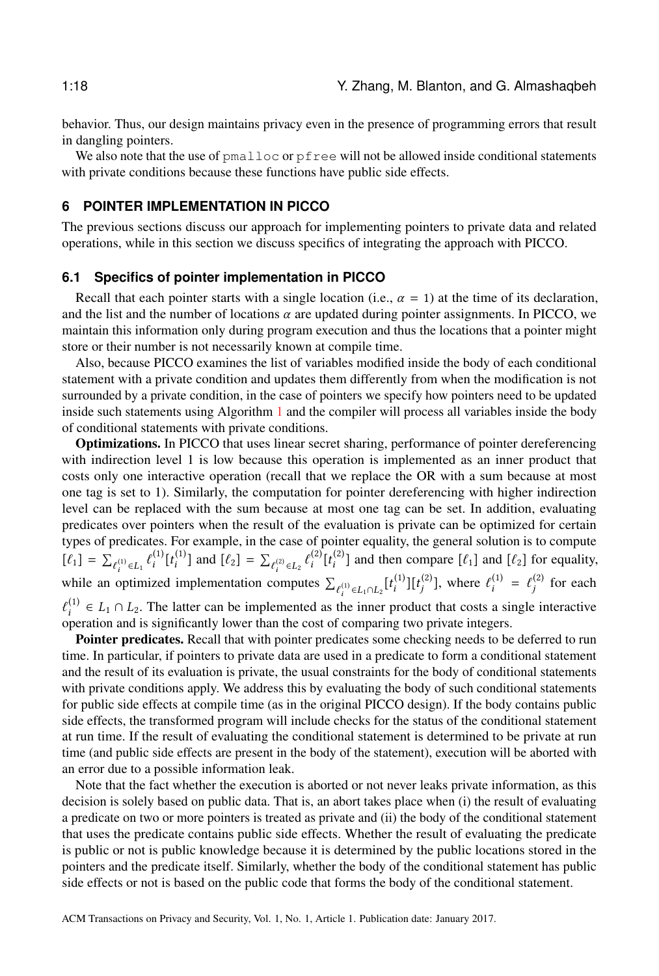behavior. Thus, our design maintains privacy even in the presence of programming errors that result in dangling pointers.

We also note that the use of  $pmalloc$  or  $pfree$  will not be allowed inside conditional statements with private conditions because these functions have public side effects.

# <span id="page-17-0"></span>**6 POINTER IMPLEMENTATION IN PICCO**

The previous sections discuss our approach for implementing pointers to private data and related operations, while in this section we discuss specifics of integrating the approach with PICCO.

#### <span id="page-17-1"></span>**6.1 Specifics of pointer implementation in PICCO**

Recall that each pointer starts with a single location (i.e.,  $\alpha = 1$ ) at the time of its declaration, and the list and the number of locations  $\alpha$  are updated during pointer assignments. In PICCO, we maintain this information only during program execution and thus the locations that a pointer might store or their number is not necessarily known at compile time.

Also, because PICCO examines the list of variables modified inside the body of each conditional statement with a private condition and updates them differently from when the modification is not surrounded by a private condition, in the case of pointers we specify how pointers need to be updated inside such statements using Algorithm [1](#page-8-0) and the compiler will process all variables inside the body of conditional statements with private conditions.

Optimizations. In PICCO that uses linear secret sharing, performance of pointer dereferencing with indirection level 1 is low because this operation is implemented as an inner product that costs only one interactive operation (recall that we replace the OR with a sum because at most one tag is set to 1). Similarly, the computation for pointer dereferencing with higher indirection level can be replaced with the sum because at most one tag can be set. In addition, evaluating predicates over pointers when the result of the evaluation is private can be optimized for certain types of predicates. For example, in the case of pointer equality, the general solution is to compute  $[\ell_1] = \sum_{\ell_i^{(1)} \in L_1} \ell_i^{(1)} [t_i^{(1)}]$  and  $[\ell_2] = \sum_{\ell_i^{(2)} \in L_2} \ell_i^{(2)} [t_i^{(2)}]$  and then compare  $[\ell_1]$  and  $[\ell_2]$  for equality,  $\mu_{i,j} = \sum_{\ell_i^{(i)} \in L_1} c_i \mu_{i,j}$  and  $\mu_{i,j} = \sum_{\ell_i^{(i)} \in L_2} c_i \mu_{i,j}$ <br>while an optimized implementation computes  $\Sigma$  $\ell_i^{(1)} \in L_1 \cap L_2$   $[t_i^{(1)}]$  $\left[\binom{1}{i}\right] \left[t_j^{(2)}\right]$  $\binom{2}{j}$ , where  $\ell_i^{(1)}$  $i^{(1)} = \ell_j^{(2)}$  $j^{(2)}$  for each  $\frac{1}{\ell}$  is  $\frac{1}{\ell}$  in the contract of  $\ell$  integers. The cost of comparing two private integers.  $\mu_i^{(1)}$  ∈  $L_1 \cap L_2$ . The latter can be implemented as the inner product that costs a single interactive interactive interactive interactive interactive

Pointer predicates. Recall that with pointer predicates some checking needs to be deferred to run time. In particular, if pointers to private data are used in a predicate to form a conditional statement and the result of its evaluation is private, the usual constraints for the body of conditional statements with private conditions apply. We address this by evaluating the body of such conditional statements for public side effects at compile time (as in the original PICCO design). If the body contains public side effects, the transformed program will include checks for the status of the conditional statement at run time. If the result of evaluating the conditional statement is determined to be private at run time (and public side effects are present in the body of the statement), execution will be aborted with an error due to a possible information leak.

Note that the fact whether the execution is aborted or not never leaks private information, as this decision is solely based on public data. That is, an abort takes place when (i) the result of evaluating a predicate on two or more pointers is treated as private and (ii) the body of the conditional statement that uses the predicate contains public side effects. Whether the result of evaluating the predicate is public or not is public knowledge because it is determined by the public locations stored in the pointers and the predicate itself. Similarly, whether the body of the conditional statement has public side effects or not is based on the public code that forms the body of the conditional statement.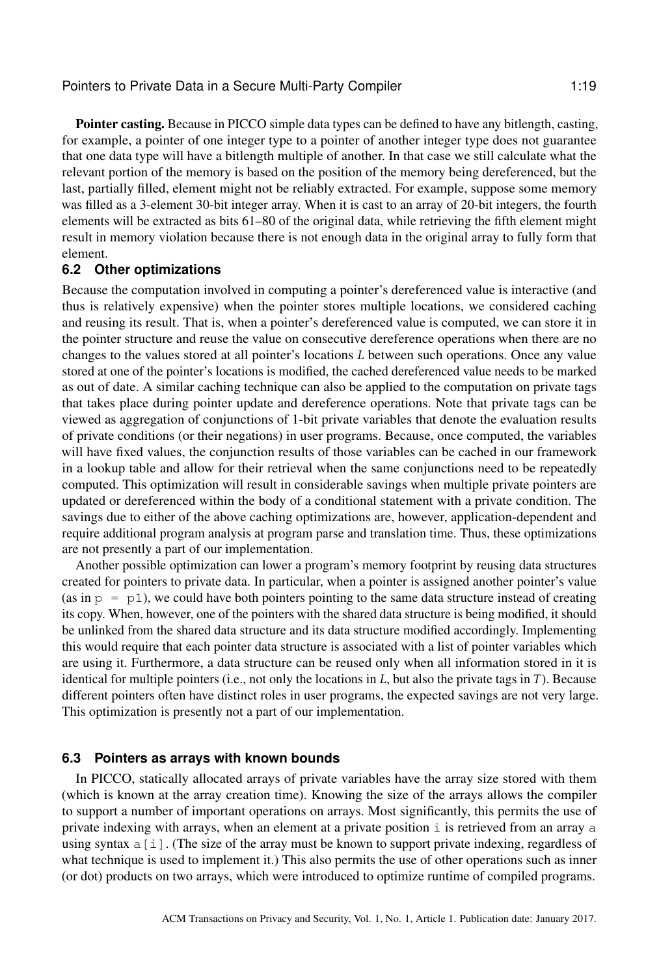Pointer casting. Because in PICCO simple data types can be defined to have any bitlength, casting, for example, a pointer of one integer type to a pointer of another integer type does not guarantee that one data type will have a bitlength multiple of another. In that case we still calculate what the relevant portion of the memory is based on the position of the memory being dereferenced, but the last, partially filled, element might not be reliably extracted. For example, suppose some memory was filled as a 3-element 30-bit integer array. When it is cast to an array of 20-bit integers, the fourth elements will be extracted as bits 61–80 of the original data, while retrieving the fifth element might result in memory violation because there is not enough data in the original array to fully form that element.

### **6.2 Other optimizations**

Because the computation involved in computing a pointer's dereferenced value is interactive (and thus is relatively expensive) when the pointer stores multiple locations, we considered caching and reusing its result. That is, when a pointer's dereferenced value is computed, we can store it in the pointer structure and reuse the value on consecutive dereference operations when there are no changes to the values stored at all pointer's locations L between such operations. Once any value stored at one of the pointer's locations is modified, the cached dereferenced value needs to be marked as out of date. A similar caching technique can also be applied to the computation on private tags that takes place during pointer update and dereference operations. Note that private tags can be viewed as aggregation of conjunctions of 1-bit private variables that denote the evaluation results of private conditions (or their negations) in user programs. Because, once computed, the variables will have fixed values, the conjunction results of those variables can be cached in our framework in a lookup table and allow for their retrieval when the same conjunctions need to be repeatedly computed. This optimization will result in considerable savings when multiple private pointers are updated or dereferenced within the body of a conditional statement with a private condition. The savings due to either of the above caching optimizations are, however, application-dependent and require additional program analysis at program parse and translation time. Thus, these optimizations are not presently a part of our implementation.

Another possible optimization can lower a program's memory footprint by reusing data structures created for pointers to private data. In particular, when a pointer is assigned another pointer's value (as in  $p = p1$ ), we could have both pointers pointing to the same data structure instead of creating its copy. When, however, one of the pointers with the shared data structure is being modified, it should be unlinked from the shared data structure and its data structure modified accordingly. Implementing this would require that each pointer data structure is associated with a list of pointer variables which are using it. Furthermore, a data structure can be reused only when all information stored in it is identical for multiple pointers (i.e., not only the locations in  $L$ , but also the private tags in  $T$ ). Because different pointers often have distinct roles in user programs, the expected savings are not very large. This optimization is presently not a part of our implementation.

### **6.3 Pointers as arrays with known bounds**

In PICCO, statically allocated arrays of private variables have the array size stored with them (which is known at the array creation time). Knowing the size of the arrays allows the compiler to support a number of important operations on arrays. Most significantly, this permits the use of private indexing with arrays, when an element at a private position  $\pm$  is retrieved from an array  $\pm$ using syntax a[i]. (The size of the array must be known to support private indexing, regardless of what technique is used to implement it.) This also permits the use of other operations such as inner (or dot) products on two arrays, which were introduced to optimize runtime of compiled programs.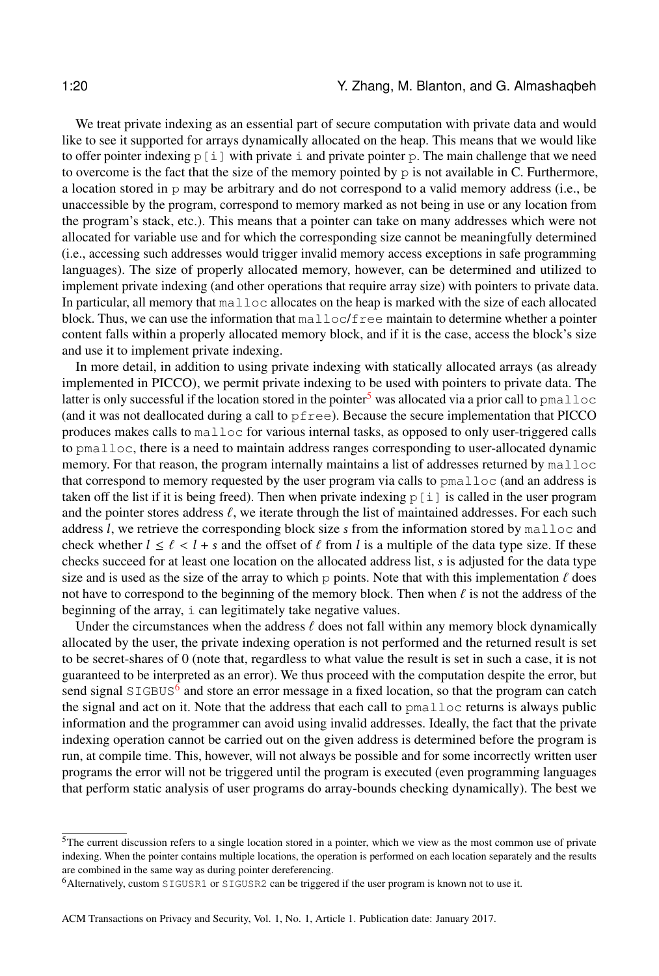We treat private indexing as an essential part of secure computation with private data and would like to see it supported for arrays dynamically allocated on the heap. This means that we would like to offer pointer indexing  $p[i]$  with private i and private pointer p. The main challenge that we need to overcome is the fact that the size of the memory pointed by p is not available in C. Furthermore, a location stored in p may be arbitrary and do not correspond to a valid memory address (i.e., be unaccessible by the program, correspond to memory marked as not being in use or any location from the program's stack, etc.). This means that a pointer can take on many addresses which were not allocated for variable use and for which the corresponding size cannot be meaningfully determined (i.e., accessing such addresses would trigger invalid memory access exceptions in safe programming languages). The size of properly allocated memory, however, can be determined and utilized to implement private indexing (and other operations that require array size) with pointers to private data. In particular, all memory that malloc allocates on the heap is marked with the size of each allocated block. Thus, we can use the information that  $\text{malloc}/\text{free}$  maintain to determine whether a pointer content falls within a properly allocated memory block, and if it is the case, access the block's size and use it to implement private indexing.

In more detail, in addition to using private indexing with statically allocated arrays (as already implemented in PICCO), we permit private indexing to be used with pointers to private data. The latter is only successful if the location stored in the pointer<sup>[5](#page-19-0)</sup> was allocated via a prior call to  $pmalloc$ (and it was not deallocated during a call to pfree). Because the secure implementation that PICCO produces makes calls to malloc for various internal tasks, as opposed to only user-triggered calls to pmalloc, there is a need to maintain address ranges corresponding to user-allocated dynamic memory. For that reason, the program internally maintains a list of addresses returned by malloc that correspond to memory requested by the user program via calls to pmalloc (and an address is taken off the list if it is being freed). Then when private indexing  $p[i]$  is called in the user program and the pointer stores address  $\ell$ , we iterate through the list of maintained addresses. For each such address l, we retrieve the corresponding block size s from the information stored by malloc and check whether  $l \leq \ell < l + s$  and the offset of  $\ell$  from l is a multiple of the data type size. If these checks succeed for at least one location on the allocated address list, s is adjusted for the data type size and is used as the size of the array to which p points. Note that with this implementation  $\ell$  does not have to correspond to the beginning of the memory block. Then when  $\ell$  is not the address of the beginning of the array, i can legitimately take negative values.

Under the circumstances when the address  $\ell$  does not fall within any memory block dynamically allocated by the user, the private indexing operation is not performed and the returned result is set to be secret-shares of 0 (note that, regardless to what value the result is set in such a case, it is not guaranteed to be interpreted as an error). We thus proceed with the computation despite the error, but send signal SIGBUS<sup>[6](#page-19-1)</sup> and store an error message in a fixed location, so that the program can catch the signal and act on it. Note that the address that each call to pmalloc returns is always public information and the programmer can avoid using invalid addresses. Ideally, the fact that the private indexing operation cannot be carried out on the given address is determined before the program is run, at compile time. This, however, will not always be possible and for some incorrectly written user programs the error will not be triggered until the program is executed (even programming languages that perform static analysis of user programs do array-bounds checking dynamically). The best we

<span id="page-19-0"></span><sup>5</sup>The current discussion refers to a single location stored in a pointer, which we view as the most common use of private indexing. When the pointer contains multiple locations, the operation is performed on each location separately and the results are combined in the same way as during pointer dereferencing.

<span id="page-19-1"></span><sup>6</sup>Alternatively, custom SIGUSR1 or SIGUSR2 can be triggered if the user program is known not to use it.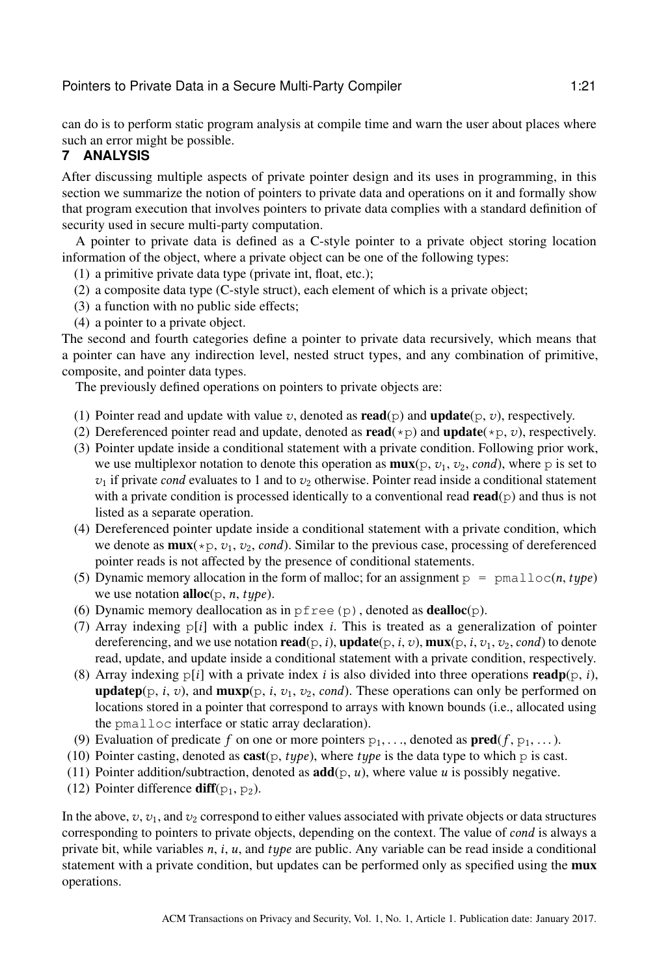can do is to perform static program analysis at compile time and warn the user about places where such an error might be possible.

# <span id="page-20-0"></span>**7 ANALYSIS**

After discussing multiple aspects of private pointer design and its uses in programming, in this section we summarize the notion of pointers to private data and operations on it and formally show that program execution that involves pointers to private data complies with a standard definition of security used in secure multi-party computation.

A pointer to private data is defined as a C-style pointer to a private object storing location information of the object, where a private object can be one of the following types:

(1) a primitive private data type (private int, float, etc.);

- (2) a composite data type (C-style struct), each element of which is a private object;
- (3) a function with no public side effects;
- (4) a pointer to a private object.

The second and fourth categories define a pointer to private data recursively, which means that a pointer can have any indirection level, nested struct types, and any combination of primitive, composite, and pointer data types.

The previously defined operations on pointers to private objects are:

- (1) Pointer read and update with value v, denoted as  $\mathbf{read}(p)$  and  $\mathbf{update}(p, v)$ , respectively.
- (2) Dereferenced pointer read and update, denoted as **read**( $\star$ p) and **update**( $\star$ p, *v*), respectively.
- (3) Pointer update inside a conditional statement with a private condition. Following prior work, we use multiplexor notation to denote this operation as  $\mathbf{mux}(\mathbf{p}, v_1, v_2, \text{cond})$ , where p is set to  $v_1$  if private cond evaluates to 1 and to  $v_2$  otherwise. Pointer read inside a conditional statement with a private condition is processed identically to a conventional read  $read(p)$  and thus is not listed as a separate operation.
- (4) Dereferenced pointer update inside a conditional statement with a private condition, which we denote as  $\max(\ast p, v_1, v_2, cond)$ . Similar to the previous case, processing of dereferenced pointer reads is not affected by the presence of conditional statements.
- (5) Dynamic memory allocation in the form of malloc; for an assignment  $p = \text{pmallow}(n, type)$ we use notation **alloc**( $p$ , *n*, *type*).
- (6) Dynamic memory deallocation as in  $pfree(p)$ , denoted as **dealloc** $(p)$ .
- (7) Array indexing  $p[i]$  with a public index *i*. This is treated as a generalization of pointer dereferencing, and we use notation  $\text{read}(p, i)$ ,  $\text{update}(p, i, v)$ ,  $\text{mux}(p, i, v_1, v_2, cond)$  to denote read, update, and update inside a conditional statement with a private condition, respectively.
- (8) Array indexing  $p[i]$  with a private index i is also divided into three operations readp( $p$ , i), **updatep**( $p$ , *i*, *v*), and **muxp**( $p$ , *i*, *v*<sub>1</sub>, *v*<sub>2</sub>, *cond*). These operations can only be performed on locations stored in a pointer that correspond to arrays with known bounds (i.e., allocated using the pmalloc interface or static array declaration).
- (9) Evaluation of predicate f on one or more pointers  $p_1, \ldots$ , denoted as  $pred(f, p_1, \ldots)$ .
- (10) Pointer casting, denoted as  $\text{cast}(p, type)$ , where type is the data type to which p is cast.
- (11) Pointer addition/subtraction, denoted as  $add(p, u)$ , where value u is possibly negative.
- (12) Pointer difference  $diff(p_1, p_2)$ .

In the above,  $v, v_1$ , and  $v_2$  correspond to either values associated with private objects or data structures corresponding to pointers to private objects, depending on the context. The value of cond is always a private bit, while variables  $n$ , i,  $u$ , and  $type$  are public. Any variable can be read inside a conditional statement with a private condition, but updates can be performed only as specified using the **mux** operations.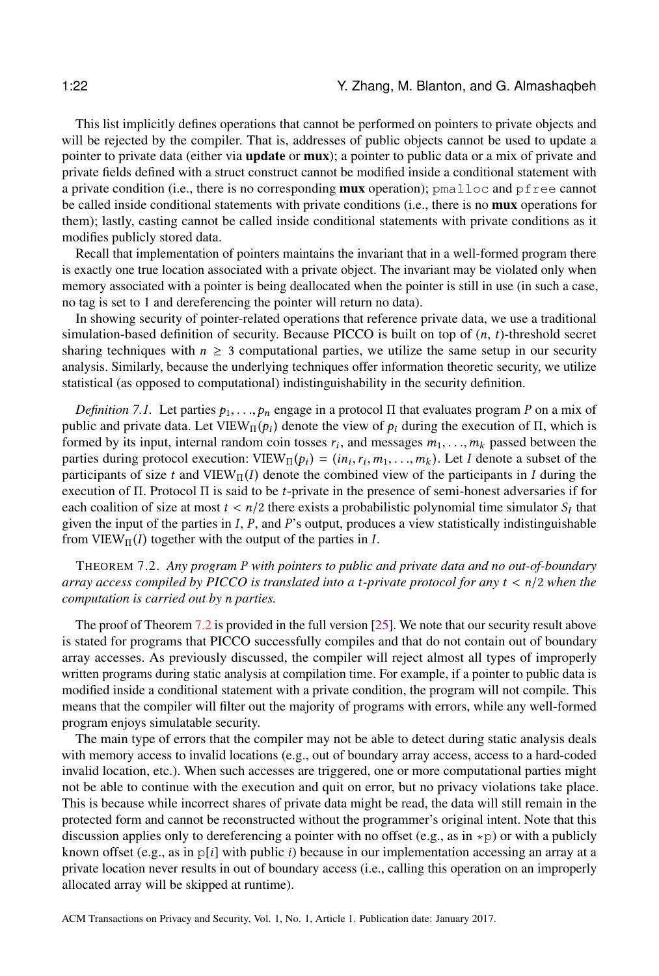This list implicitly defines operations that cannot be performed on pointers to private objects and will be rejected by the compiler. That is, addresses of public objects cannot be used to update a pointer to private data (either via **update** or **mux**); a pointer to public data or a mix of private and private fields defined with a struct construct cannot be modified inside a conditional statement with a private condition (i.e., there is no corresponding **mux** operation); pmalloc and pfree cannot be called inside conditional statements with private conditions (i.e., there is no mux operations for them); lastly, casting cannot be called inside conditional statements with private conditions as it modifies publicly stored data.

Recall that implementation of pointers maintains the invariant that in a well-formed program there is exactly one true location associated with a private object. The invariant may be violated only when memory associated with a pointer is being deallocated when the pointer is still in use (in such a case, no tag is set to 1 and dereferencing the pointer will return no data).

In showing security of pointer-related operations that reference private data, we use a traditional simulation-based definition of security. Because PICCO is built on top of  $(n, t)$ -threshold secret sharing techniques with  $n \geq 3$  computational parties, we utilize the same setup in our security analysis. Similarly, because the underlying techniques offer information theoretic security, we utilize statistical (as opposed to computational) indistinguishability in the security definition.

*Definition 7.1.* Let parties  $p_1, \ldots, p_n$  engage in a protocol Π that evaluates program P on a mix of public and private data. Let VIEW<sub>II</sub> $(p_i)$  denote the view of  $p_i$  during the execution of  $\Pi$ , which is formed by its input internal random coin tosses  $r_i$ , and messages  $m_i$ , and massed between the formed by its input, internal random coin tosses  $r_i$ , and messages  $m_1, \ldots, m_k$  passed between the parties during protocol execution:  $VIFW_{\alpha}(n) = (m_1, r_1, m_2, \ldots, m_k)$  Let Ldenote a subset of the parties during protocol execution:  $VIEW_{\Pi}(p_i) = (in_i, r_i, m_1, ..., m_k)$ . Let I denote a subset of the participants of size t and  $VIEW_{\Pi}(I)$  denote the combined view of the participants in I during the participants of size t and VIEW<sub>II</sub>(I) denote the combined view of the participants in I during the execution of  $\Pi$ . Protocol  $\Pi$  is said to be t-private in the presence of semi-honest adversaries if for execution of Π. Protocol Π is said to be *t*-private in the presence of semi-honest adversaries if for each coalition of size at most  $t < n/2$  there exists a probabilistic polynomial time simulator  $S_I$  that given the input of the parties in  $I$ ,  $P$  and  $P$ 's output, produces a view statistically indistinguishable given the input of the parties in  $I, P$ , and  $P$ 's output, produces a view statistically indistinguishable from VIEW $_{\Pi}(I)$  together with the output of the parties in I.

<span id="page-21-0"></span><sup>T</sup>HEOREM 7.2. *Any program* P *with pointers to public and private data and no out-of-boundary array access compiled by PICCO is translated into a* t*-private protocol for any* t < n/<sup>2</sup> *when the computation is carried out by* n *parties.*

The proof of Theorem [7.2](#page-21-0) is provided in the full version [\[25\]](#page-32-18). We note that our security result above is stated for programs that PICCO successfully compiles and that do not contain out of boundary array accesses. As previously discussed, the compiler will reject almost all types of improperly written programs during static analysis at compilation time. For example, if a pointer to public data is modified inside a conditional statement with a private condition, the program will not compile. This means that the compiler will filter out the majority of programs with errors, while any well-formed program enjoys simulatable security.

The main type of errors that the compiler may not be able to detect during static analysis deals with memory access to invalid locations (e.g., out of boundary array access, access to a hard-coded invalid location, etc.). When such accesses are triggered, one or more computational parties might not be able to continue with the execution and quit on error, but no privacy violations take place. This is because while incorrect shares of private data might be read, the data will still remain in the protected form and cannot be reconstructed without the programmer's original intent. Note that this discussion applies only to dereferencing a pointer with no offset (e.g., as in  $\star$ p) or with a publicly known offset (e.g., as in  $p[i]$  with public i) because in our implementation accessing an array at a private location never results in out of boundary access (i.e., calling this operation on an improperly allocated array will be skipped at runtime).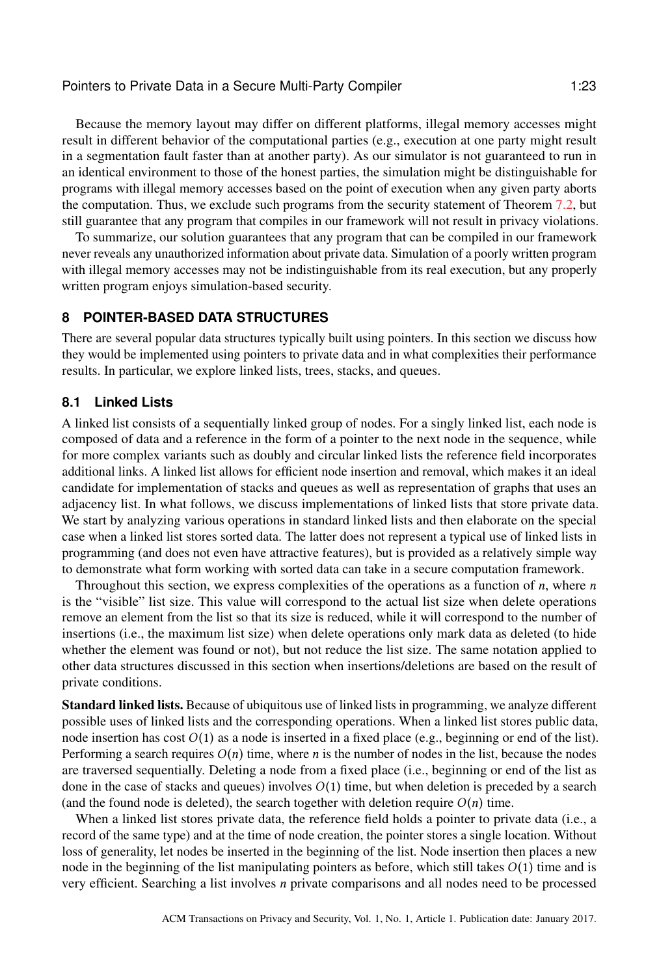Because the memory layout may differ on different platforms, illegal memory accesses might result in different behavior of the computational parties (e.g., execution at one party might result in a segmentation fault faster than at another party). As our simulator is not guaranteed to run in an identical environment to those of the honest parties, the simulation might be distinguishable for programs with illegal memory accesses based on the point of execution when any given party aborts the computation. Thus, we exclude such programs from the security statement of Theorem [7.2,](#page-21-0) but still guarantee that any program that compiles in our framework will not result in privacy violations.

To summarize, our solution guarantees that any program that can be compiled in our framework never reveals any unauthorized information about private data. Simulation of a poorly written program with illegal memory accesses may not be indistinguishable from its real execution, but any properly written program enjoys simulation-based security.

# <span id="page-22-0"></span>**8 POINTER-BASED DATA STRUCTURES**

There are several popular data structures typically built using pointers. In this section we discuss how they would be implemented using pointers to private data and in what complexities their performance results. In particular, we explore linked lists, trees, stacks, and queues.

# <span id="page-22-1"></span>**8.1 Linked Lists**

A linked list consists of a sequentially linked group of nodes. For a singly linked list, each node is composed of data and a reference in the form of a pointer to the next node in the sequence, while for more complex variants such as doubly and circular linked lists the reference field incorporates additional links. A linked list allows for efficient node insertion and removal, which makes it an ideal candidate for implementation of stacks and queues as well as representation of graphs that uses an adjacency list. In what follows, we discuss implementations of linked lists that store private data. We start by analyzing various operations in standard linked lists and then elaborate on the special case when a linked list stores sorted data. The latter does not represent a typical use of linked lists in programming (and does not even have attractive features), but is provided as a relatively simple way to demonstrate what form working with sorted data can take in a secure computation framework.

Throughout this section, we express complexities of the operations as a function of  $n$ , where  $n$ is the "visible" list size. This value will correspond to the actual list size when delete operations remove an element from the list so that its size is reduced, while it will correspond to the number of insertions (i.e., the maximum list size) when delete operations only mark data as deleted (to hide whether the element was found or not), but not reduce the list size. The same notation applied to other data structures discussed in this section when insertions/deletions are based on the result of private conditions.

Standard linked lists. Because of ubiquitous use of linked lists in programming, we analyze different possible uses of linked lists and the corresponding operations. When a linked list stores public data, node insertion has cost  $O(1)$  as a node is inserted in a fixed place (e.g., beginning or end of the list). Performing a search requires  $O(n)$  time, where *n* is the number of nodes in the list, because the nodes are traversed sequentially. Deleting a node from a fixed place (i.e., beginning or end of the list as done in the case of stacks and queues) involves  $O(1)$  time, but when deletion is preceded by a search (and the found node is deleted), the search together with deletion require  $O(n)$  time.

When a linked list stores private data, the reference field holds a pointer to private data (i.e., a record of the same type) and at the time of node creation, the pointer stores a single location. Without loss of generality, let nodes be inserted in the beginning of the list. Node insertion then places a new node in the beginning of the list manipulating pointers as before, which still takes  $O(1)$  time and is very efficient. Searching a list involves n private comparisons and all nodes need to be processed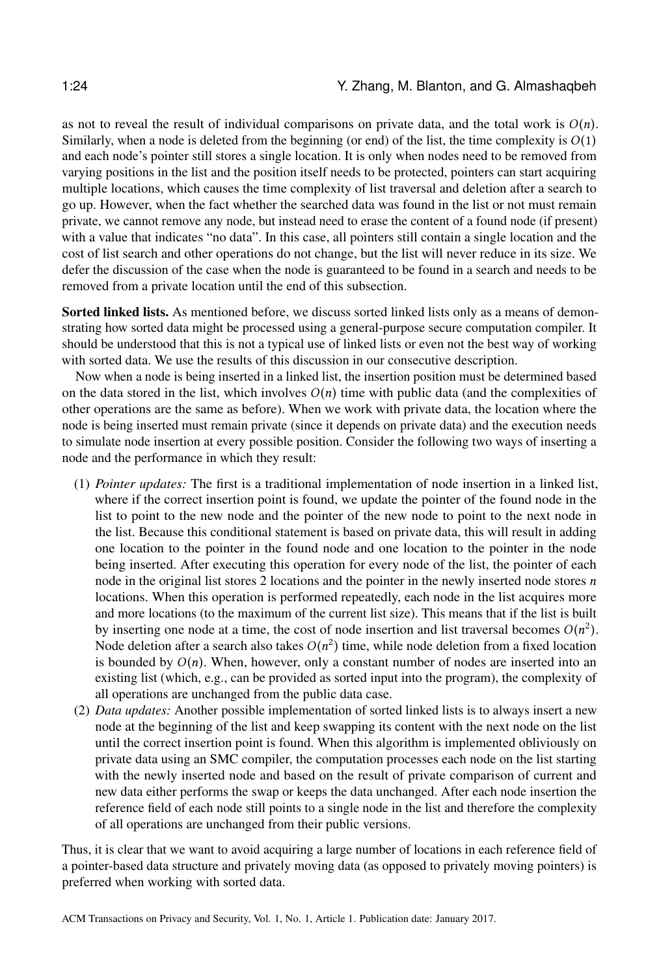as not to reveal the result of individual comparisons on private data, and the total work is  $O(n)$ . Similarly, when a node is deleted from the beginning (or end) of the list, the time complexity is  $O(1)$ and each node's pointer still stores a single location. It is only when nodes need to be removed from varying positions in the list and the position itself needs to be protected, pointers can start acquiring multiple locations, which causes the time complexity of list traversal and deletion after a search to go up. However, when the fact whether the searched data was found in the list or not must remain private, we cannot remove any node, but instead need to erase the content of a found node (if present) with a value that indicates "no data". In this case, all pointers still contain a single location and the cost of list search and other operations do not change, but the list will never reduce in its size. We defer the discussion of the case when the node is guaranteed to be found in a search and needs to be removed from a private location until the end of this subsection.

Sorted linked lists. As mentioned before, we discuss sorted linked lists only as a means of demonstrating how sorted data might be processed using a general-purpose secure computation compiler. It should be understood that this is not a typical use of linked lists or even not the best way of working with sorted data. We use the results of this discussion in our consecutive description.

Now when a node is being inserted in a linked list, the insertion position must be determined based on the data stored in the list, which involves  $O(n)$  time with public data (and the complexities of other operations are the same as before). When we work with private data, the location where the node is being inserted must remain private (since it depends on private data) and the execution needs to simulate node insertion at every possible position. Consider the following two ways of inserting a node and the performance in which they result:

- (1) *Pointer updates:* The first is a traditional implementation of node insertion in a linked list, where if the correct insertion point is found, we update the pointer of the found node in the list to point to the new node and the pointer of the new node to point to the next node in the list. Because this conditional statement is based on private data, this will result in adding one location to the pointer in the found node and one location to the pointer in the node being inserted. After executing this operation for every node of the list, the pointer of each node in the original list stores 2 locations and the pointer in the newly inserted node stores  $n$ locations. When this operation is performed repeatedly, each node in the list acquires more and more locations (to the maximum of the current list size). This means that if the list is built by inserting one node at a time, the cost of node insertion and list traversal becomes  $O(n^2)$ .<br>Node deletion after a search also takes  $O(n^2)$  time, while node deletion from a fixed location. Node deletion after a search also takes  $O(n^2)$  time, while node deletion from a fixed location<br>is bounded by  $O(n)$ . When, however, only a constant number of nodes are inserted into an is bounded by  $O(n)$ . When, however, only a constant number of nodes are inserted into an existing list (which, e.g., can be provided as sorted input into the program), the complexity of all operations are unchanged from the public data case.
- (2) *Data updates:* Another possible implementation of sorted linked lists is to always insert a new node at the beginning of the list and keep swapping its content with the next node on the list until the correct insertion point is found. When this algorithm is implemented obliviously on private data using an SMC compiler, the computation processes each node on the list starting with the newly inserted node and based on the result of private comparison of current and new data either performs the swap or keeps the data unchanged. After each node insertion the reference field of each node still points to a single node in the list and therefore the complexity of all operations are unchanged from their public versions.

Thus, it is clear that we want to avoid acquiring a large number of locations in each reference field of a pointer-based data structure and privately moving data (as opposed to privately moving pointers) is preferred when working with sorted data.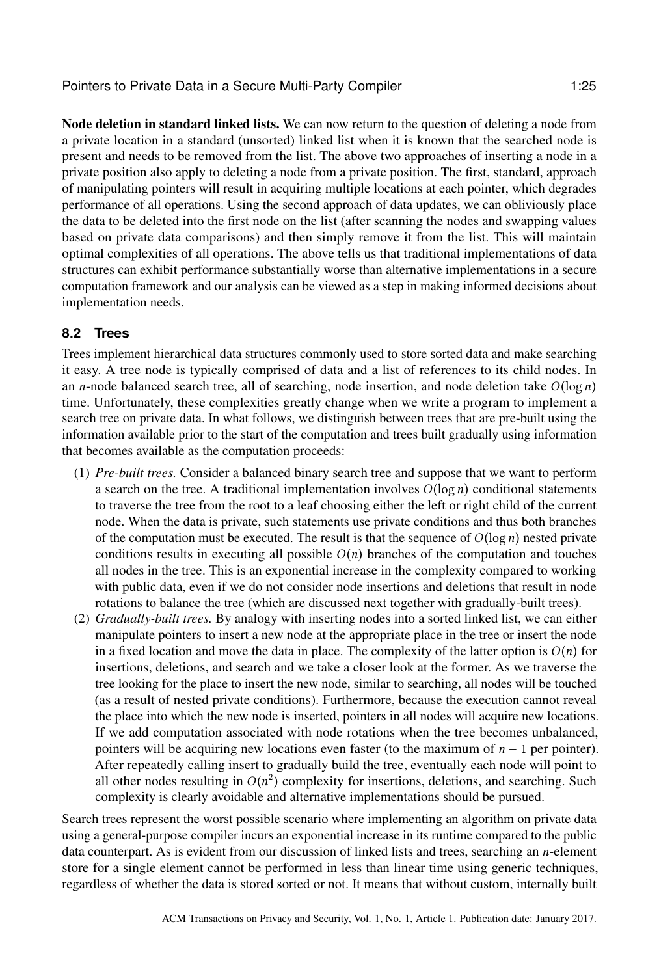Node deletion in standard linked lists. We can now return to the question of deleting a node from a private location in a standard (unsorted) linked list when it is known that the searched node is present and needs to be removed from the list. The above two approaches of inserting a node in a private position also apply to deleting a node from a private position. The first, standard, approach of manipulating pointers will result in acquiring multiple locations at each pointer, which degrades performance of all operations. Using the second approach of data updates, we can obliviously place the data to be deleted into the first node on the list (after scanning the nodes and swapping values based on private data comparisons) and then simply remove it from the list. This will maintain optimal complexities of all operations. The above tells us that traditional implementations of data structures can exhibit performance substantially worse than alternative implementations in a secure computation framework and our analysis can be viewed as a step in making informed decisions about implementation needs.

# **8.2 Trees**

Trees implement hierarchical data structures commonly used to store sorted data and make searching it easy. A tree node is typically comprised of data and a list of references to its child nodes. In an *n*-node balanced search tree, all of searching, node insertion, and node deletion take  $O(\log n)$ time. Unfortunately, these complexities greatly change when we write a program to implement a search tree on private data. In what follows, we distinguish between trees that are pre-built using the information available prior to the start of the computation and trees built gradually using information that becomes available as the computation proceeds:

- (1) *Pre-built trees.* Consider a balanced binary search tree and suppose that we want to perform a search on the tree. A traditional implementation involves  $O(log n)$  conditional statements to traverse the tree from the root to a leaf choosing either the left or right child of the current node. When the data is private, such statements use private conditions and thus both branches of the computation must be executed. The result is that the sequence of  $O(log n)$  nested private conditions results in executing all possible  $O(n)$  branches of the computation and touches all nodes in the tree. This is an exponential increase in the complexity compared to working with public data, even if we do not consider node insertions and deletions that result in node rotations to balance the tree (which are discussed next together with gradually-built trees).
- (2) *Gradually-built trees.* By analogy with inserting nodes into a sorted linked list, we can either manipulate pointers to insert a new node at the appropriate place in the tree or insert the node in a fixed location and move the data in place. The complexity of the latter option is  $O(n)$  for insertions, deletions, and search and we take a closer look at the former. As we traverse the tree looking for the place to insert the new node, similar to searching, all nodes will be touched (as a result of nested private conditions). Furthermore, because the execution cannot reveal the place into which the new node is inserted, pointers in all nodes will acquire new locations. If we add computation associated with node rotations when the tree becomes unbalanced, pointers will be acquiring new locations even faster (to the maximum of  $n - 1$  per pointer). After repeatedly calling insert to gradually build the tree, eventually each node will point to all other nodes resulting in  $O(n^2)$  complexity for insertions, deletions, and searching. Such<br>complexity is clearly avoidable and alternative implementations should be pursued complexity is clearly avoidable and alternative implementations should be pursued.

Search trees represent the worst possible scenario where implementing an algorithm on private data using a general-purpose compiler incurs an exponential increase in its runtime compared to the public data counterpart. As is evident from our discussion of linked lists and trees, searching an n-element store for a single element cannot be performed in less than linear time using generic techniques, regardless of whether the data is stored sorted or not. It means that without custom, internally built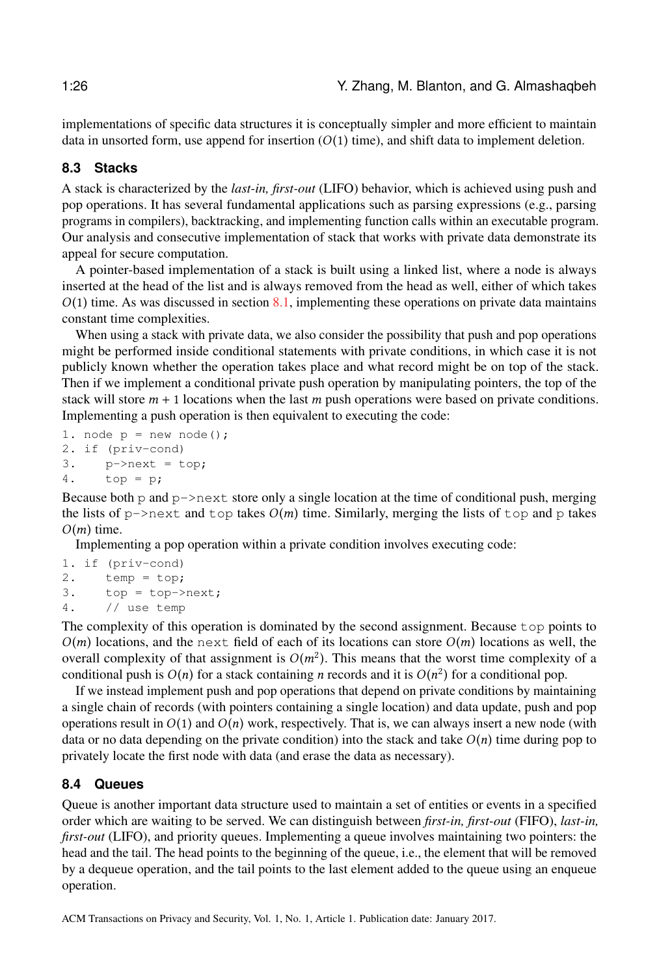implementations of specific data structures it is conceptually simpler and more efficient to maintain data in unsorted form, use append for insertion  $(O(1)$  time), and shift data to implement deletion.

# **8.3 Stacks**

A stack is characterized by the *last-in, first-out* (LIFO) behavior, which is achieved using push and pop operations. It has several fundamental applications such as parsing expressions (e.g., parsing programs in compilers), backtracking, and implementing function calls within an executable program. Our analysis and consecutive implementation of stack that works with private data demonstrate its appeal for secure computation.

A pointer-based implementation of a stack is built using a linked list, where a node is always inserted at the head of the list and is always removed from the head as well, either of which takes  $O(1)$  time. As was discussed in section [8.1,](#page-22-1) implementing these operations on private data maintains constant time complexities.

When using a stack with private data, we also consider the possibility that push and pop operations might be performed inside conditional statements with private conditions, in which case it is not publicly known whether the operation takes place and what record might be on top of the stack. Then if we implement a conditional private push operation by manipulating pointers, the top of the stack will store  $m + 1$  locations when the last m push operations were based on private conditions. Implementing a push operation is then equivalent to executing the code:

```
1. node p = new node();
2. if (priv-cond)
3. p\rightarrownext = top;
4. top = p;
```
Because both p and  $p\rightarrow$ next store only a single location at the time of conditional push, merging the lists of  $p\rightarrow$ next and top takes  $O(m)$  time. Similarly, merging the lists of top and p takes  $O(m)$  time.

Implementing a pop operation within a private condition involves executing code:

```
1. if (priv-cond)
2. temp = top;
3. top = top->next;
4. // use temp
```
The complexity of this operation is dominated by the second assignment. Because top points to  $O(m)$  locations, and the next field of each of its locations can store  $O(m)$  locations as well, the overall complexity of that assignment is  $O(m^2)$ . This means that the worst time complexity of a conditional push is  $O(n)$  for a stack containing *n* records and it is  $O(n^2)$  for a conditional pop conditional push is  $O(n)$  for a stack containing *n* records and it is  $O(n^2)$  for a conditional pop.<br>If we instead implement push and pop operations that depend on private conditions by mainta

If we instead implement push and pop operations that depend on private conditions by maintaining a single chain of records (with pointers containing a single location) and data update, push and pop operations result in  $O(1)$  and  $O(n)$  work, respectively. That is, we can always insert a new node (with data or no data depending on the private condition) into the stack and take  $O(n)$  time during pop to privately locate the first node with data (and erase the data as necessary).

# **8.4 Queues**

Queue is another important data structure used to maintain a set of entities or events in a specified order which are waiting to be served. We can distinguish between *first-in, first-out* (FIFO), *last-in, first-out* (LIFO), and priority queues. Implementing a queue involves maintaining two pointers: the head and the tail. The head points to the beginning of the queue, i.e., the element that will be removed by a dequeue operation, and the tail points to the last element added to the queue using an enqueue operation.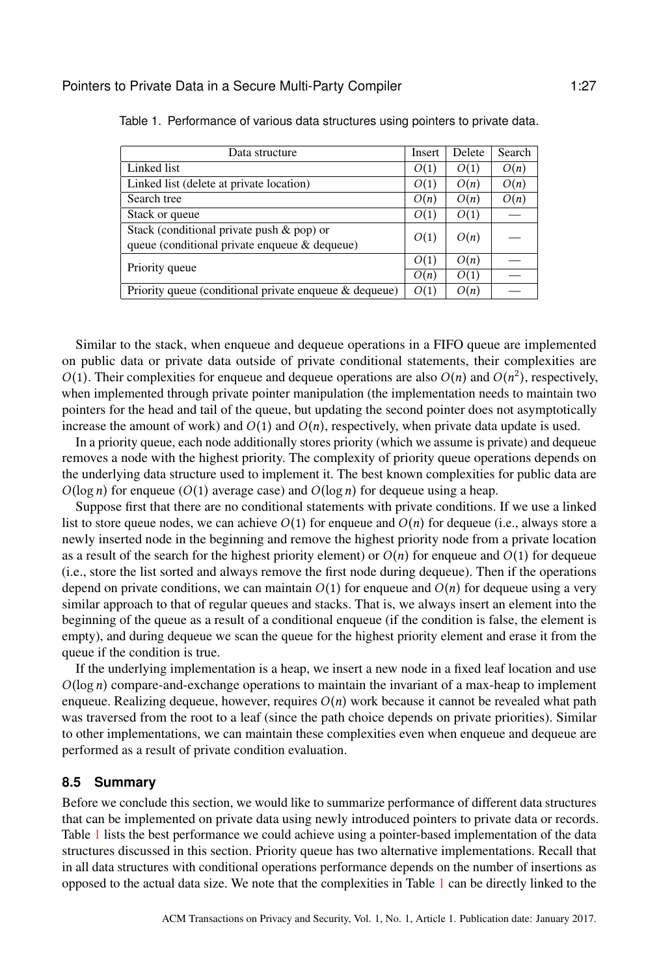| Data structure                                         | Insert | Delete | Search |
|--------------------------------------------------------|--------|--------|--------|
| Linked list                                            | O(1)   | O(1)   | O(n)   |
| Linked list (delete at private location)               | O(1)   | O(n)   | O(n)   |
| Search tree                                            | O(n)   | O(n)   | O(n)   |
| Stack or queue                                         | O(1)   | O(1)   |        |
| Stack (conditional private push & pop) or              | O(1)   | O(n)   |        |
| queue (conditional private enqueue & dequeue)          |        |        |        |
| Priority queue                                         |        | O(n)   |        |
|                                                        |        | O(1)   |        |
| Priority queue (conditional private enqueue & dequeue) | O(1)   | O(n)   |        |
|                                                        |        |        |        |

<span id="page-26-0"></span>Table 1. Performance of various data structures using pointers to private data.

Similar to the stack, when enqueue and dequeue operations in a FIFO queue are implemented on public data or private data outside of private conditional statements, their complexities are  $O(1)$ . Their complexities for enqueue and dequeue operations are also  $O(n)$  and  $O(n^2)$ , respectively, when implemented through private pointer manipulation (the implementation needs to maintain two when implemented through private pointer manipulation (the implementation needs to maintain two pointers for the head and tail of the queue, but updating the second pointer does not asymptotically increase the amount of work) and  $O(1)$  and  $O(n)$ , respectively, when private data update is used.

In a priority queue, each node additionally stores priority (which we assume is private) and dequeue removes a node with the highest priority. The complexity of priority queue operations depends on the underlying data structure used to implement it. The best known complexities for public data are  $O(\log n)$  for enqueue  $O(1)$  average case) and  $O(\log n)$  for dequeue using a heap.

Suppose first that there are no conditional statements with private conditions. If we use a linked list to store queue nodes, we can achieve  $O(1)$  for enqueue and  $O(n)$  for dequeue (i.e., always store a newly inserted node in the beginning and remove the highest priority node from a private location as a result of the search for the highest priority element) or  $O(n)$  for enqueue and  $O(1)$  for dequeue (i.e., store the list sorted and always remove the first node during dequeue). Then if the operations depend on private conditions, we can maintain  $O(1)$  for enqueue and  $O(n)$  for dequeue using a very similar approach to that of regular queues and stacks. That is, we always insert an element into the beginning of the queue as a result of a conditional enqueue (if the condition is false, the element is empty), and during dequeue we scan the queue for the highest priority element and erase it from the queue if the condition is true.

If the underlying implementation is a heap, we insert a new node in a fixed leaf location and use  $O(log n)$  compare-and-exchange operations to maintain the invariant of a max-heap to implement enqueue. Realizing dequeue, however, requires  $O(n)$  work because it cannot be revealed what path was traversed from the root to a leaf (since the path choice depends on private priorities). Similar to other implementations, we can maintain these complexities even when enqueue and dequeue are performed as a result of private condition evaluation.

### **8.5 Summary**

Before we conclude this section, we would like to summarize performance of different data structures that can be implemented on private data using newly introduced pointers to private data or records. Table [1](#page-26-0) lists the best performance we could achieve using a pointer-based implementation of the data structures discussed in this section. Priority queue has two alternative implementations. Recall that in all data structures with conditional operations performance depends on the number of insertions as opposed to the actual data size. We note that the complexities in Table [1](#page-26-0) can be directly linked to the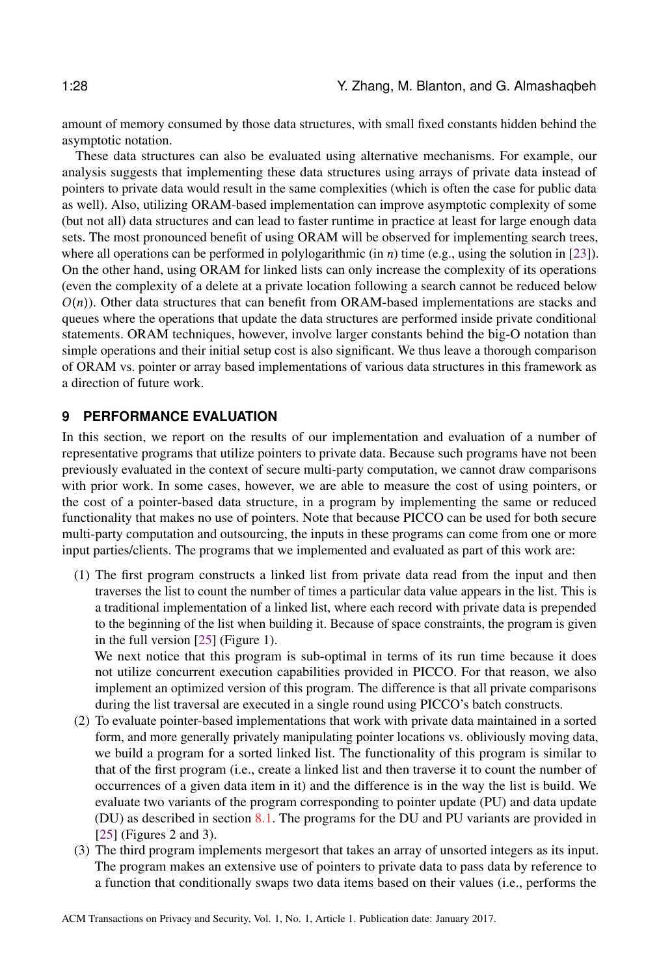amount of memory consumed by those data structures, with small fixed constants hidden behind the asymptotic notation.

These data structures can also be evaluated using alternative mechanisms. For example, our analysis suggests that implementing these data structures using arrays of private data instead of pointers to private data would result in the same complexities (which is often the case for public data as well). Also, utilizing ORAM-based implementation can improve asymptotic complexity of some (but not all) data structures and can lead to faster runtime in practice at least for large enough data sets. The most pronounced benefit of using ORAM will be observed for implementing search trees, where all operations can be performed in polylogarithmic (in  $n$ ) time (e.g., using the solution in [\[23\]](#page-32-14)). On the other hand, using ORAM for linked lists can only increase the complexity of its operations (even the complexity of a delete at a private location following a search cannot be reduced below  $O(n)$ ). Other data structures that can benefit from ORAM-based implementations are stacks and queues where the operations that update the data structures are performed inside private conditional statements. ORAM techniques, however, involve larger constants behind the big-O notation than simple operations and their initial setup cost is also significant. We thus leave a thorough comparison of ORAM vs. pointer or array based implementations of various data structures in this framework as a direction of future work.

# <span id="page-27-0"></span>**9 PERFORMANCE EVALUATION**

In this section, we report on the results of our implementation and evaluation of a number of representative programs that utilize pointers to private data. Because such programs have not been previously evaluated in the context of secure multi-party computation, we cannot draw comparisons with prior work. In some cases, however, we are able to measure the cost of using pointers, or the cost of a pointer-based data structure, in a program by implementing the same or reduced functionality that makes no use of pointers. Note that because PICCO can be used for both secure multi-party computation and outsourcing, the inputs in these programs can come from one or more input parties/clients. The programs that we implemented and evaluated as part of this work are:

(1) The first program constructs a linked list from private data read from the input and then traverses the list to count the number of times a particular data value appears in the list. This is a traditional implementation of a linked list, where each record with private data is prepended to the beginning of the list when building it. Because of space constraints, the program is given in the full version [\[25\]](#page-32-18) (Figure 1).

We next notice that this program is sub-optimal in terms of its run time because it does not utilize concurrent execution capabilities provided in PICCO. For that reason, we also implement an optimized version of this program. The difference is that all private comparisons during the list traversal are executed in a single round using PICCO's batch constructs.

- (2) To evaluate pointer-based implementations that work with private data maintained in a sorted form, and more generally privately manipulating pointer locations vs. obliviously moving data, we build a program for a sorted linked list. The functionality of this program is similar to that of the first program (i.e., create a linked list and then traverse it to count the number of occurrences of a given data item in it) and the difference is in the way the list is build. We evaluate two variants of the program corresponding to pointer update (PU) and data update (DU) as described in section [8.1.](#page-22-1) The programs for the DU and PU variants are provided in [\[25\]](#page-32-18) (Figures 2 and 3).
- (3) The third program implements mergesort that takes an array of unsorted integers as its input. The program makes an extensive use of pointers to private data to pass data by reference to a function that conditionally swaps two data items based on their values (i.e., performs the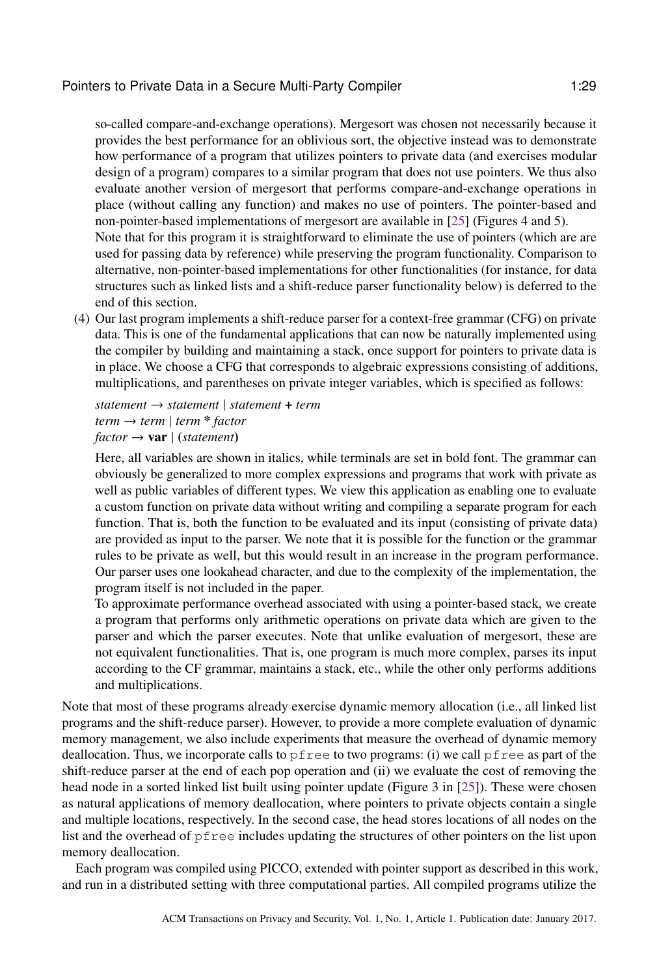so-called compare-and-exchange operations). Mergesort was chosen not necessarily because it provides the best performance for an oblivious sort, the objective instead was to demonstrate how performance of a program that utilizes pointers to private data (and exercises modular design of a program) compares to a similar program that does not use pointers. We thus also evaluate another version of mergesort that performs compare-and-exchange operations in place (without calling any function) and makes no use of pointers. The pointer-based and non-pointer-based implementations of mergesort are available in [\[25\]](#page-32-18) (Figures 4 and 5). Note that for this program it is straightforward to eliminate the use of pointers (which are are used for passing data by reference) while preserving the program functionality. Comparison to alternative, non-pointer-based implementations for other functionalities (for instance, for data structures such as linked lists and a shift-reduce parser functionality below) is deferred to the

end of this section. (4) Our last program implements a shift-reduce parser for a context-free grammar (CFG) on private data. This is one of the fundamental applications that can now be naturally implemented using the compiler by building and maintaining a stack, once support for pointers to private data is in place. We choose a CFG that corresponds to algebraic expressions consisting of additions, multiplications, and parentheses on private integer variables, which is specified as follows:

*statement* → *statement* | *statement* + *term term* → *term* | *term* \* *factor*  $factor \rightarrow \textbf{var}$  | (*statement*)

Here, all variables are shown in italics, while terminals are set in bold font. The grammar can obviously be generalized to more complex expressions and programs that work with private as well as public variables of different types. We view this application as enabling one to evaluate a custom function on private data without writing and compiling a separate program for each function. That is, both the function to be evaluated and its input (consisting of private data) are provided as input to the parser. We note that it is possible for the function or the grammar rules to be private as well, but this would result in an increase in the program performance. Our parser uses one lookahead character, and due to the complexity of the implementation, the program itself is not included in the paper.

To approximate performance overhead associated with using a pointer-based stack, we create a program that performs only arithmetic operations on private data which are given to the parser and which the parser executes. Note that unlike evaluation of mergesort, these are not equivalent functionalities. That is, one program is much more complex, parses its input according to the CF grammar, maintains a stack, etc., while the other only performs additions and multiplications.

Note that most of these programs already exercise dynamic memory allocation (i.e., all linked list programs and the shift-reduce parser). However, to provide a more complete evaluation of dynamic memory management, we also include experiments that measure the overhead of dynamic memory deallocation. Thus, we incorporate calls to  $pfree$  to two programs: (i) we call  $pfree$  as part of the shift-reduce parser at the end of each pop operation and (ii) we evaluate the cost of removing the head node in a sorted linked list built using pointer update (Figure 3 in [\[25\]](#page-32-18)). These were chosen as natural applications of memory deallocation, where pointers to private objects contain a single and multiple locations, respectively. In the second case, the head stores locations of all nodes on the list and the overhead of pfree includes updating the structures of other pointers on the list upon memory deallocation.

Each program was compiled using PICCO, extended with pointer support as described in this work, and run in a distributed setting with three computational parties. All compiled programs utilize the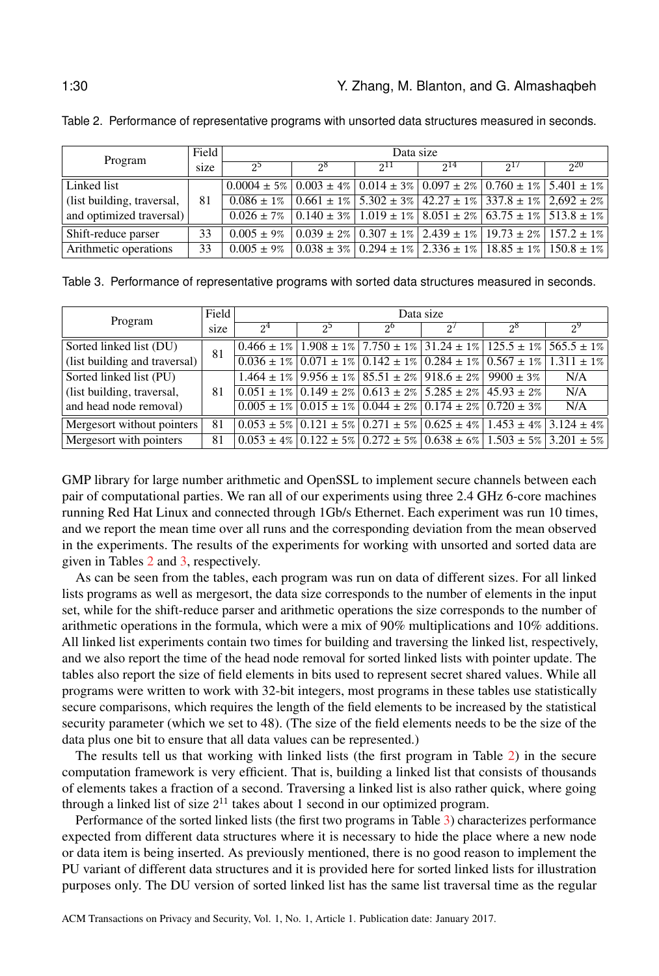| Program                    | Field | Data size                                                                                                                       |    |     |     |  |              |
|----------------------------|-------|---------------------------------------------------------------------------------------------------------------------------------|----|-----|-----|--|--------------|
|                            | size  | 22                                                                                                                              | റ൦ | 211 | 214 |  | $20^{\circ}$ |
| Linked list                |       | $0.0004 \pm 5\%$ $0.003 \pm 4\%$ $0.014 \pm 3\%$ $0.097 \pm 2\%$ $0.760 \pm 1\%$ $5.401 \pm 1\%$                                |    |     |     |  |              |
| (list building, traversal, | 81    | $\vert 0.086 \pm 1\% \vert 0.661 \pm 1\% \vert 5.302 \pm 3\% \vert 42.27 \pm 1\% \vert 337.8 \pm 1\% \vert 2.692 \pm 2\% \vert$ |    |     |     |  |              |
| and optimized traversal)   |       | $0.026 \pm 7\%$ $\mid 0.140 \pm 3\%$ $\mid 1.019 \pm 1\%$ $\mid 8.051 \pm 2\%$ $\mid 63.75 \pm 1\%$ $\mid 513.8 \pm 1\%$        |    |     |     |  |              |
| Shift-reduce parser        | 33    | $0.005 \pm 9\%$ $\mid 0.039 \pm 2\% \mid 0.307 \pm 1\% \mid 2.439 \pm 1\% \mid 19.73 \pm 2\% \mid 157.2 \pm 1\% \mid$           |    |     |     |  |              |
| Arithmetic operations      | 33    | $0.005 \pm 9\%$   $0.038 \pm 3\%$   $0.294 \pm 1\%$   $2.336 \pm 1\%$   $18.85 \pm 1\%$   $150.8 \pm 1\%$                       |    |     |     |  |              |

<span id="page-29-0"></span>Table 2. Performance of representative programs with unsorted data structures measured in seconds.

<span id="page-29-1"></span>

|  | Table 3. Performance of representative programs with sorted data structures measured in seconds. |  |  |  |  |  |  |
|--|--------------------------------------------------------------------------------------------------|--|--|--|--|--|--|
|--|--------------------------------------------------------------------------------------------------|--|--|--|--|--|--|

| Program                       | Field | Data size      |                                                                                                                                                                                                                                                                                                 |         |          |             |         |
|-------------------------------|-------|----------------|-------------------------------------------------------------------------------------------------------------------------------------------------------------------------------------------------------------------------------------------------------------------------------------------------|---------|----------|-------------|---------|
|                               | size  | 2 <sup>4</sup> | $2^5$                                                                                                                                                                                                                                                                                           | $2^{0}$ | $\Omega$ | $2^{\circ}$ | $2^{9}$ |
| Sorted linked list (DU)       | 81    |                | $10.466 \pm 1\%$   $1.908 \pm 1\%$   $7.750 \pm 1\%$   $31.24 \pm 1\%$   $125.5 \pm 1\%$   $565.5 \pm 1\%$                                                                                                                                                                                      |         |          |             |         |
| (list building and traversal) |       |                | $0.036 \pm 1\%$ $0.071 \pm 1\%$ $0.142 \pm 1\%$ $0.284 \pm 1\%$ $0.567 \pm 1\%$ $1.311 \pm 1\%$                                                                                                                                                                                                 |         |          |             |         |
| Sorted linked list (PU)       | 81    |                | $1.464 \pm 1\%$   $9.956 \pm 1\%$   $85.51 \pm 2\%$   $918.6 \pm 2\%$   $9900 \pm 3\%$                                                                                                                                                                                                          |         |          |             | N/A     |
| (list building, traversal,    |       |                | $0.051 \pm 1\%$   $0.149 \pm 2\%$   $0.613 \pm 2\%$   $5.285 \pm 2\%$   $45.93 \pm 2\%$                                                                                                                                                                                                         |         |          |             | N/A     |
| and head node removal)        |       |                | $0.005 \pm 1\% \, \vert \, 0.015 \pm 1\% \, \vert \, 0.044 \pm 2\% \, \vert \, 0.174 \pm 2\% \, \vert \, 0.720 \pm 3\%$                                                                                                                                                                         |         |          |             | N/A     |
| Mergesort without pointers    | 81    |                | $0.053 \pm 5\%$ $0.121 \pm 5\%$ $0.271 \pm 5\%$ $0.625 \pm 4\%$ $1.453 \pm 4\%$ $3.124 \pm 4\%$                                                                                                                                                                                                 |         |          |             |         |
| Mergesort with pointers       | 81    |                | $0.053 \pm 4\% \,   \, 0.122 \pm 5\% \,   \, 0.272 \pm 5\% \,   \, 0.638 \pm 6\% \,   \, 1.503 \pm 5\% \,   \, 3.201 \pm 5\% \,   \, 0.053 \pm 5\% \,   \, 0.053 \pm 5\% \,   \, 0.053 \pm 5\% \,   \, 0.053 \pm 5\% \,   \, 0.053 \pm 5\% \,   \, 0.053 \pm 5\% \,   \, 0.053 \pm 5\% \,   \,$ |         |          |             |         |

GMP library for large number arithmetic and OpenSSL to implement secure channels between each pair of computational parties. We ran all of our experiments using three 2.4 GHz 6-core machines running Red Hat Linux and connected through 1Gb/s Ethernet. Each experiment was run 10 times, and we report the mean time over all runs and the corresponding deviation from the mean observed in the experiments. The results of the experiments for working with unsorted and sorted data are given in Tables [2](#page-29-0) and [3,](#page-29-1) respectively.

As can be seen from the tables, each program was run on data of different sizes. For all linked lists programs as well as mergesort, the data size corresponds to the number of elements in the input set, while for the shift-reduce parser and arithmetic operations the size corresponds to the number of arithmetic operations in the formula, which were a mix of 90% multiplications and 10% additions. All linked list experiments contain two times for building and traversing the linked list, respectively, and we also report the time of the head node removal for sorted linked lists with pointer update. The tables also report the size of field elements in bits used to represent secret shared values. While all programs were written to work with 32-bit integers, most programs in these tables use statistically secure comparisons, which requires the length of the field elements to be increased by the statistical security parameter (which we set to 48). (The size of the field elements needs to be the size of the data plus one bit to ensure that all data values can be represented.)

The results tell us that working with linked lists (the first program in Table [2\)](#page-29-0) in the secure computation framework is very efficient. That is, building a linked list that consists of thousands of elements takes a fraction of a second. Traversing a linked list is also rather quick, where going through a linked list of size  $2^{11}$  takes about 1 second in our optimized program.

Performance of the sorted linked lists (the first two programs in Table [3\)](#page-29-1) characterizes performance expected from different data structures where it is necessary to hide the place where a new node or data item is being inserted. As previously mentioned, there is no good reason to implement the PU variant of different data structures and it is provided here for sorted linked lists for illustration purposes only. The DU version of sorted linked list has the same list traversal time as the regular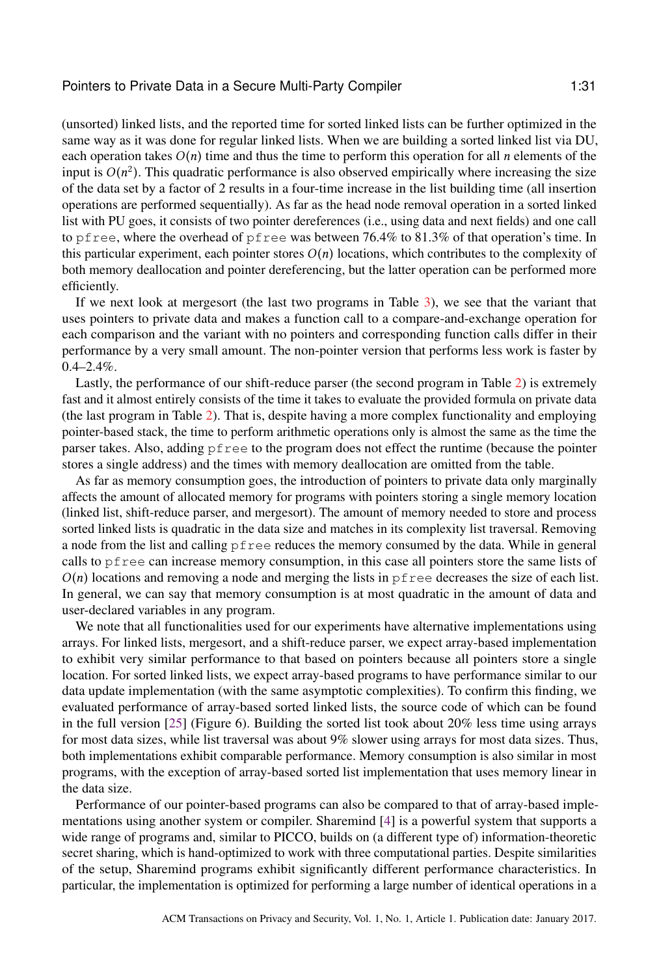(unsorted) linked lists, and the reported time for sorted linked lists can be further optimized in the same way as it was done for regular linked lists. When we are building a sorted linked list via DU, each operation takes  $O(n)$  time and thus the time to perform this operation for all n elements of the input is  $O(n^2)$ . This quadratic performance is also observed empirically where increasing the size<br>of the data set by a factor of 2 results in a four-time increase in the list building time (all insertion of the data set by a factor of 2 results in a four-time increase in the list building time (all insertion operations are performed sequentially). As far as the head node removal operation in a sorted linked list with PU goes, it consists of two pointer dereferences (i.e., using data and next fields) and one call to pfree, where the overhead of pfree was between 76.4% to 81.3% of that operation's time. In this particular experiment, each pointer stores  $O(n)$  locations, which contributes to the complexity of both memory deallocation and pointer dereferencing, but the latter operation can be performed more efficiently.

If we next look at mergesort (the last two programs in Table [3\)](#page-29-1), we see that the variant that uses pointers to private data and makes a function call to a compare-and-exchange operation for each comparison and the variant with no pointers and corresponding function calls differ in their performance by a very small amount. The non-pointer version that performs less work is faster by  $0.4 - 2.4\%$ .

Lastly, the performance of our shift-reduce parser (the second program in Table [2\)](#page-29-0) is extremely fast and it almost entirely consists of the time it takes to evaluate the provided formula on private data (the last program in Table [2\)](#page-29-0). That is, despite having a more complex functionality and employing pointer-based stack, the time to perform arithmetic operations only is almost the same as the time the parser takes. Also, adding pfree to the program does not effect the runtime (because the pointer stores a single address) and the times with memory deallocation are omitted from the table.

As far as memory consumption goes, the introduction of pointers to private data only marginally affects the amount of allocated memory for programs with pointers storing a single memory location (linked list, shift-reduce parser, and mergesort). The amount of memory needed to store and process sorted linked lists is quadratic in the data size and matches in its complexity list traversal. Removing a node from the list and calling pfree reduces the memory consumed by the data. While in general calls to pfree can increase memory consumption, in this case all pointers store the same lists of  $O(n)$  locations and removing a node and merging the lists in pfree decreases the size of each list. In general, we can say that memory consumption is at most quadratic in the amount of data and user-declared variables in any program.

We note that all functionalities used for our experiments have alternative implementations using arrays. For linked lists, mergesort, and a shift-reduce parser, we expect array-based implementation to exhibit very similar performance to that based on pointers because all pointers store a single location. For sorted linked lists, we expect array-based programs to have performance similar to our data update implementation (with the same asymptotic complexities). To confirm this finding, we evaluated performance of array-based sorted linked lists, the source code of which can be found in the full version [\[25\]](#page-32-18) (Figure 6). Building the sorted list took about 20% less time using arrays for most data sizes, while list traversal was about 9% slower using arrays for most data sizes. Thus, both implementations exhibit comparable performance. Memory consumption is also similar in most programs, with the exception of array-based sorted list implementation that uses memory linear in the data size.

Performance of our pointer-based programs can also be compared to that of array-based implementations using another system or compiler. Sharemind [\[4\]](#page-31-2) is a powerful system that supports a wide range of programs and, similar to PICCO, builds on (a different type of) information-theoretic secret sharing, which is hand-optimized to work with three computational parties. Despite similarities of the setup, Sharemind programs exhibit significantly different performance characteristics. In particular, the implementation is optimized for performing a large number of identical operations in a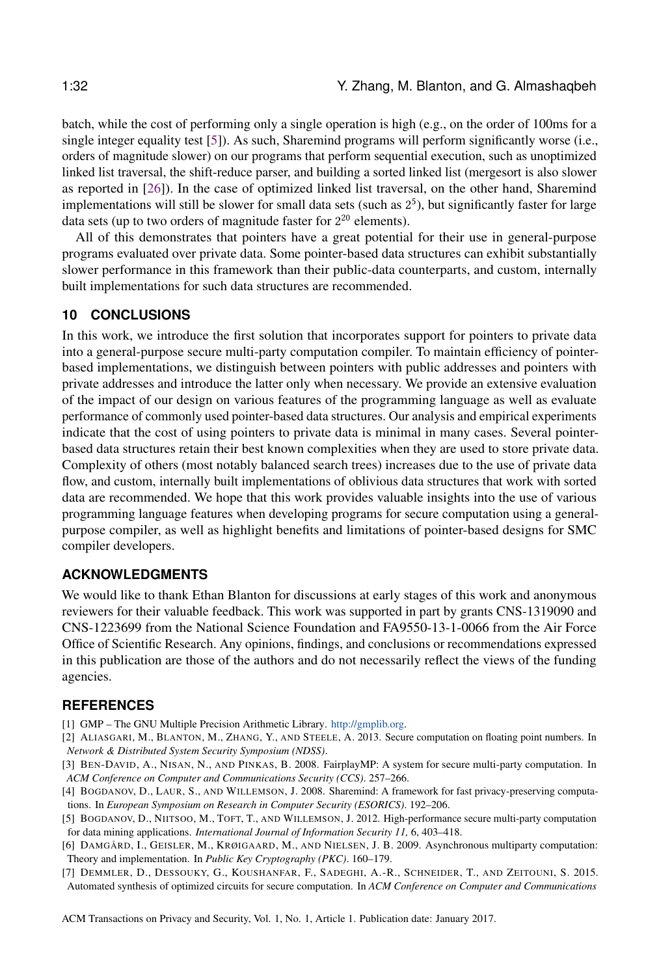batch, while the cost of performing only a single operation is high (e.g., on the order of 100ms for a single integer equality test [\[5\]](#page-31-7)). As such, Sharemind programs will perform significantly worse (i.e., orders of magnitude slower) on our programs that perform sequential execution, such as unoptimized linked list traversal, the shift-reduce parser, and building a sorted linked list (mergesort is also slower as reported in [\[26\]](#page-32-1)). In the case of optimized linked list traversal, on the other hand, Sharemind implementations will still be slower for small data sets (such as  $2<sup>5</sup>$ ), but significantly faster for large data sets (up to two orders of magnitude faster for  $2^{20}$  elements).

All of this demonstrates that pointers have a great potential for their use in general-purpose programs evaluated over private data. Some pointer-based data structures can exhibit substantially slower performance in this framework than their public-data counterparts, and custom, internally built implementations for such data structures are recommended.

#### <span id="page-31-0"></span>**10 CONCLUSIONS**

In this work, we introduce the first solution that incorporates support for pointers to private data into a general-purpose secure multi-party computation compiler. To maintain efficiency of pointerbased implementations, we distinguish between pointers with public addresses and pointers with private addresses and introduce the latter only when necessary. We provide an extensive evaluation of the impact of our design on various features of the programming language as well as evaluate performance of commonly used pointer-based data structures. Our analysis and empirical experiments indicate that the cost of using pointers to private data is minimal in many cases. Several pointerbased data structures retain their best known complexities when they are used to store private data. Complexity of others (most notably balanced search trees) increases due to the use of private data flow, and custom, internally built implementations of oblivious data structures that work with sorted data are recommended. We hope that this work provides valuable insights into the use of various programming language features when developing programs for secure computation using a generalpurpose compiler, as well as highlight benefits and limitations of pointer-based designs for SMC compiler developers.

### **ACKNOWLEDGMENTS**

We would like to thank Ethan Blanton for discussions at early stages of this work and anonymous reviewers for their valuable feedback. This work was supported in part by grants CNS-1319090 and CNS-1223699 from the National Science Foundation and FA9550-13-1-0066 from the Air Force Office of Scientific Research. Any opinions, findings, and conclusions or recommendations expressed in this publication are those of the authors and do not necessarily reflect the views of the funding agencies.

#### **REFERENCES**

- <span id="page-31-6"></span>[1] GMP – The GNU Multiple Precision Arithmetic Library. [http://gmplib.org.](http://gmplib.org)
- <span id="page-31-5"></span>[2] ALIASGARI, M., BLANTON, M., ZHANG, Y., AND STEELE, A. 2013. Secure computation on floating point numbers. In *Network & Distributed System Security Symposium (NDSS)*.
- <span id="page-31-1"></span>[3] BEN-DAVID, A., NISAN, N., AND PINKAS, B. 2008. FairplayMP: A system for secure multi-party computation. In *ACM Conference on Computer and Communications Security (CCS)*. 257–266.
- <span id="page-31-2"></span>[4] BOGDANOV, D., LAUR, S., AND WILLEMSON, J. 2008. Sharemind: A framework for fast privacy-preserving computations. In *European Symposium on Research in Computer Security (ESORICS)*. 192–206.
- <span id="page-31-7"></span>[5] BOGDANOV, D., NIITSOO, M., TOFT, T., AND WILLEMSON, J. 2012. High-performance secure multi-party computation for data mining applications. *International Journal of Information Security 11,* 6, 403–418.
- <span id="page-31-3"></span>[6] DAMGÅRD, I., GEISLER, M., KRØIGAARD, M., AND NIELSEN, J. B. 2009. Asynchronous multiparty computation: Theory and implementation. In *Public Key Cryptography (PKC)*. 160–179.
- <span id="page-31-4"></span>[7] DEMMLER, D., DESSOUKY, G., KOUSHANFAR, F., SADEGHI, A.-R., SCHNEIDER, T., AND ZEITOUNI, S. 2015. Automated synthesis of optimized circuits for secure computation. In *ACM Conference on Computer and Communications*